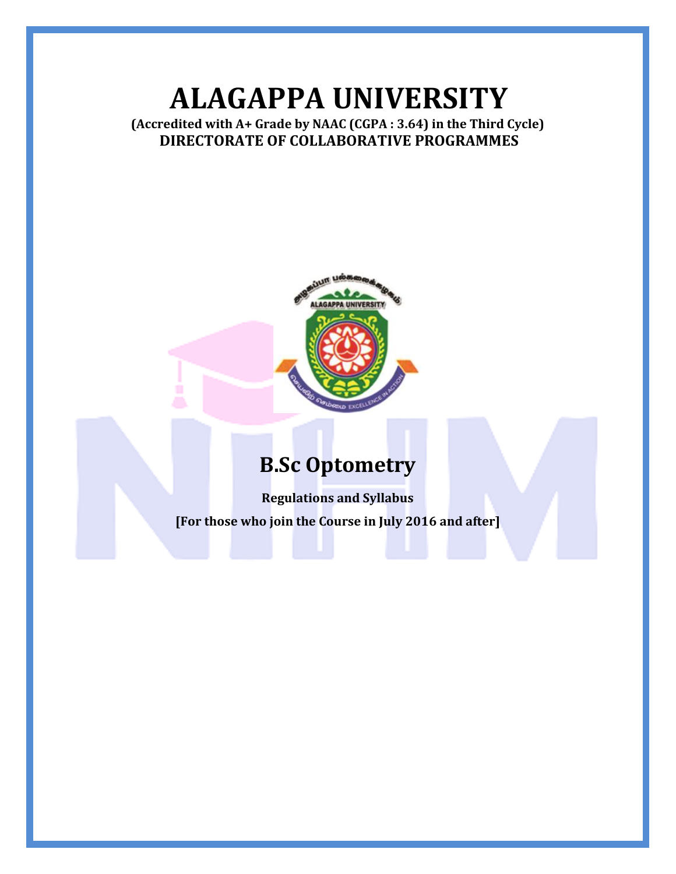# **ALAGAPPA UNIVERSITY**

### **(Accredited with A+ Grade by NAAC (CGPA : 3.64) in the Third Cycle) DIRECTORATE OF COLLABORATIVE PROGRAMMES**



# **B.Sc Optometry**

**Regulations and Syllabus [For those who join the Course in July 2016 and after]**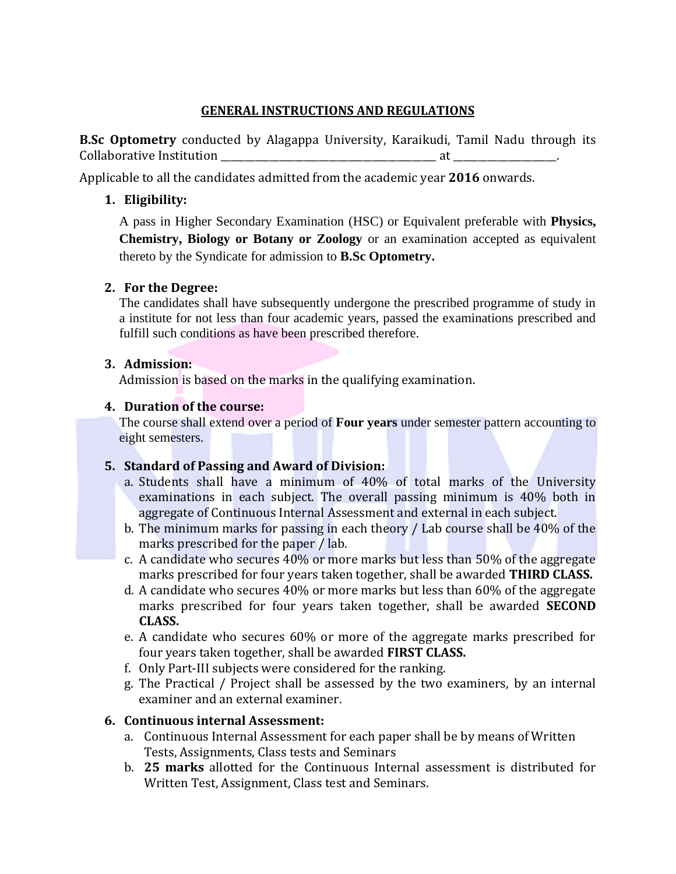#### **GENERAL INSTRUCTIONS AND REGULATIONS**

**B.Sc Optometry** conducted by Alagappa University, Karaikudi, Tamil Nadu through its Collaborative Institution  $\qquad \qquad$  at

Applicable to all the candidates admitted from the academic year **2016** onwards.

### **1. Eligibility:**

A pass in Higher Secondary Examination (HSC) or Equivalent preferable with **Physics, Chemistry, Biology or Botany or Zoology** or an examination accepted as equivalent thereto by the Syndicate for admission to **B.Sc Optometry.**

### **2. For the Degree:**

The candidates shall have subsequently undergone the prescribed programme of study in a institute for not less than four academic years, passed the examinations prescribed and fulfill such conditions as have been prescribed therefore.

#### **3. Admission:**

Admission is based on the marks in the qualifying examination.

### **4. Duration of the course:**

The course shall extend over a period of **Four years** under semester pattern accounting to eight semesters.

### **5. Standard of Passing and Award of Division:**

- a. Students shall have a minimum of 40% of total marks of the University examinations in each subject. The overall passing minimum is 40% both in aggregate of Continuous Internal Assessment and external in each subject.
- b. The minimum marks for passing in each theory / Lab course shall be 40% of the marks prescribed for the paper / lab.
- c. A candidate who secures 40% or more marks but less than 50% of the aggregate marks prescribed for four years taken together, shall be awarded **THIRD CLASS.**
- d. A candidate who secures 40% or more marks but less than 60% of the aggregate marks prescribed for four years taken together, shall be awarded **SECOND CLASS.**
- e. A candidate who secures 60% or more of the aggregate marks prescribed for four years taken together, shall be awarded **FIRST CLASS.**
- f. Only Part-III subjects were considered for the ranking.
- g. The Practical / Project shall be assessed by the two examiners, by an internal examiner and an external examiner.

### **6. Continuous internal Assessment:**

- a. Continuous Internal Assessment for each paper shall be by means of Written Tests, Assignments, Class tests and Seminars
- b. **25 marks** allotted for the Continuous Internal assessment is distributed for Written Test, Assignment, Class test and Seminars.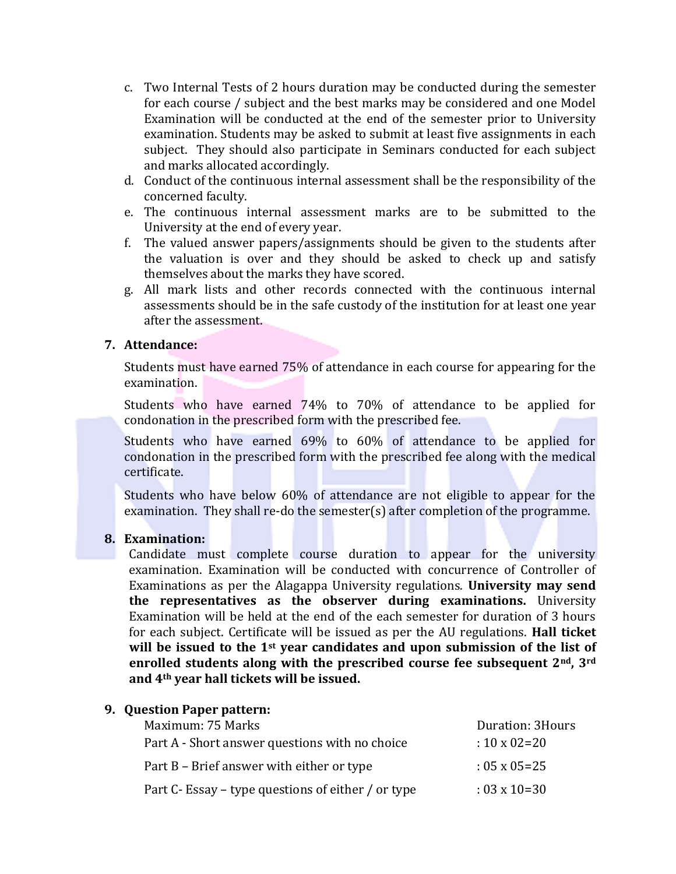- c. Two Internal Tests of 2 hours duration may be conducted during the semester for each course / subject and the best marks may be considered and one Model Examination will be conducted at the end of the semester prior to University examination. Students may be asked to submit at least five assignments in each subject. They should also participate in Seminars conducted for each subject and marks allocated accordingly.
- d. Conduct of the continuous internal assessment shall be the responsibility of the concerned faculty.
- e. The continuous internal assessment marks are to be submitted to the University at the end of every year.
- f. The valued answer papers/assignments should be given to the students after the valuation is over and they should be asked to check up and satisfy themselves about the marks they have scored.
- g. All mark lists and other records connected with the continuous internal assessments should be in the safe custody of the institution for at least one year after the assessment.

#### **7. Attendance:**

Students must have earned 75% of attendance in each course for appearing for the examination.

Students who have earned 74% to 70% of attendance to be applied for condonation in the prescribed form with the prescribed fee.

Students who have earned 69% to 60% of attendance to be applied for condonation in the prescribed form with the prescribed fee along with the medical certificate.

Students who have below 60% of attendance are not eligible to appear for the examination. They shall re-do the semester(s) after completion of the programme.

#### **8. Examination:**

Candidate must complete course duration to appear for the university examination. Examination will be conducted with concurrence of Controller of Examinations as per the Alagappa University regulations. **University may send the representatives as the observer during examinations.** University Examination will be held at the end of the each semester for duration of 3 hours for each subject. Certificate will be issued as per the AU regulations. **Hall ticket will be issued to the 1st year candidates and upon submission of the list of enrolled students along with the prescribed course fee subsequent 2nd, 3rd and 4th year hall tickets will be issued.**

### **9. Question Paper pattern:** Maximum: 75 Marks Duration: 3Hours Part A - Short answer questions with no choice  $\cdot$  10 x 02=20 Part B – Brief answer with either or type : 05 x 05=25 Part C- Essay – type questions of either / or type  $\cdot$  03 x 10=30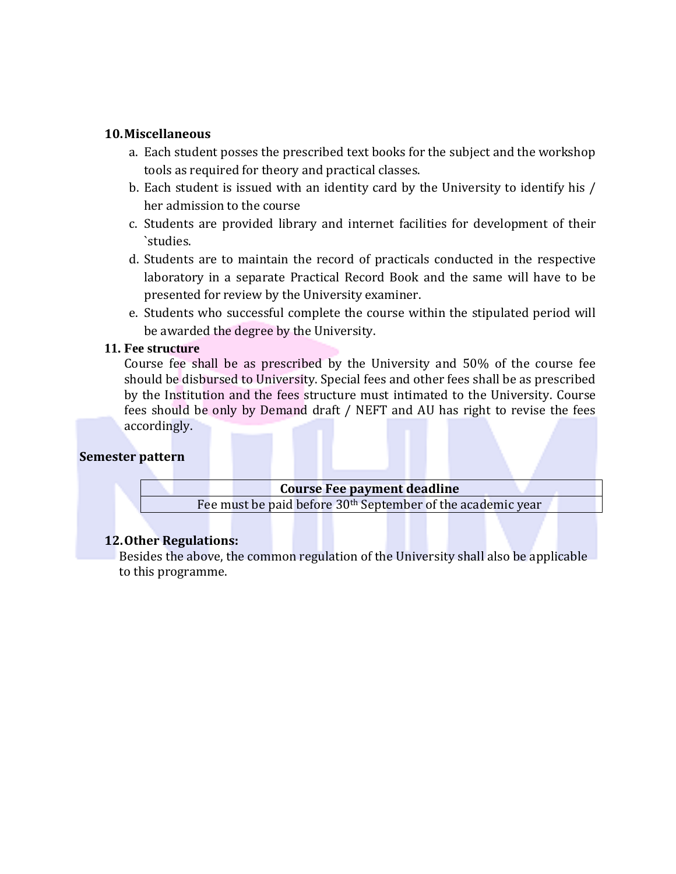#### **10.Miscellaneous**

- a. Each student posses the prescribed text books for the subject and the workshop tools as required for theory and practical classes.
- b. Each student is issued with an identity card by the University to identify his / her admission to the course
- c. Students are provided library and internet facilities for development of their `studies.
- d. Students are to maintain the record of practicals conducted in the respective laboratory in a separate Practical Record Book and the same will have to be presented for review by the University examiner.
- e. Students who successful complete the course within the stipulated period will be awarded the degree by the University.

#### **11. Fee structure**

Course fee shall be as prescribed by the University and 50% of the course fee should be disbursed to University. Special fees and other fees shall be as prescribed by the Institution and the fees structure must intimated to the University. Course fees should be only by Demand draft / NEFT and AU has right to revise the fees accordingly.

#### **Semester pattern**

#### **Course Fee payment deadline**

Fee must be paid before 30th September of the academic year

#### **12.Other Regulations:**

Besides the above, the common regulation of the University shall also be applicable to this programme.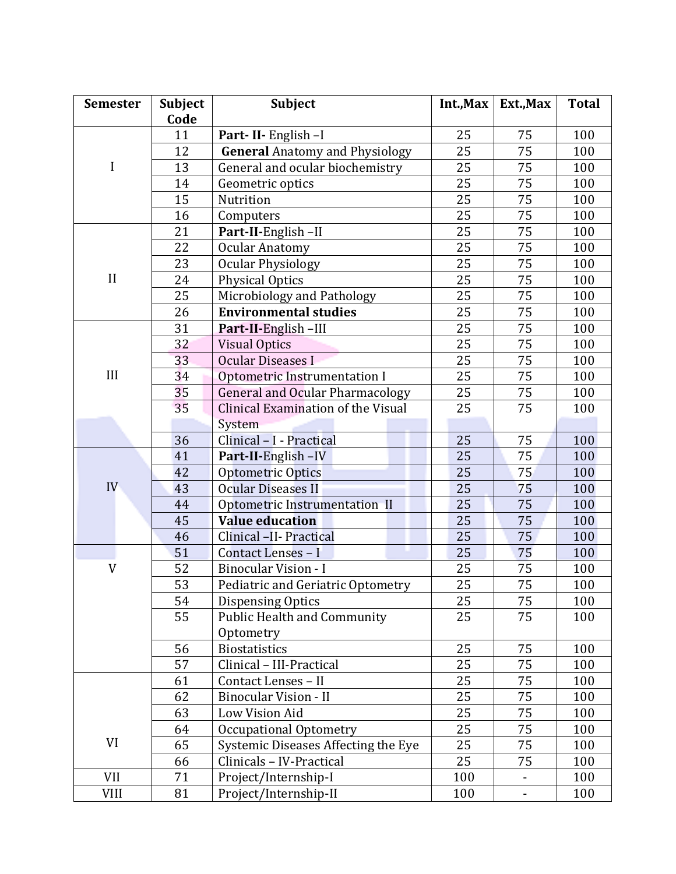| <b>Semester</b> | <b>Subject</b> | Subject                                | Int., Max | Ext., Max      | <b>Total</b> |
|-----------------|----------------|----------------------------------------|-----------|----------------|--------------|
|                 | Code           |                                        |           |                |              |
|                 | 11             | Part-II-English-I                      | 25        | 75             | 100          |
|                 | 12             | <b>General Anatomy and Physiology</b>  | 25        | 75             | 100          |
| I               | 13             | General and ocular biochemistry        | 25        | 75             | 100          |
|                 | 14             | Geometric optics                       | 25        | 75             | 100          |
|                 | 15             | Nutrition                              | 25        | 75             | 100          |
|                 | 16             | Computers                              | 25        | 75             | 100          |
|                 | 21             | Part-II-English-II                     | 25        | 75             | 100          |
|                 | 22             | <b>Ocular Anatomy</b>                  | 25        | 75             | 100          |
|                 | 23             | <b>Ocular Physiology</b>               | 25        | 75             | 100          |
| II              | 24             | <b>Physical Optics</b>                 | 25        | 75             | 100          |
|                 | 25             | Microbiology and Pathology             | 25        | 75             | 100          |
|                 | 26             | <b>Environmental studies</b>           | 25        | 75             | 100          |
|                 | 31             | Part-II-English-III                    | 25        | 75             | 100          |
|                 | 32             | <b>Visual Optics</b>                   | 25        | 75             | 100          |
|                 | 33             | <b>Ocular Diseases I</b>               | 25        | 75             | 100          |
| III             | 34             | Optometric Instrumentation I           | 25        | 75             | 100          |
|                 | 35             | <b>General and Ocular Pharmacology</b> | 25        | 75             | 100          |
|                 | 35             | Clinical Examination of the Visual     | 25        | 75             | 100          |
|                 |                | System                                 |           |                |              |
|                 | 36             | Clinical - I - Practical               | 25        | 75             | 100          |
| IV-             | 41             | Part-II-English-IV                     | 25        | 75             | 100          |
|                 | 42             | Optometric Optics                      | 25        | 75             | 100          |
|                 | 43             | <b>Ocular Diseases II</b>              | 25        | 75             | 100          |
|                 | 44             | Optometric Instrumentation II          | 25        | 75             | 100          |
|                 | 45             | <b>Value education</b>                 | 25        | 75             | 100          |
|                 | 46             | Clinical -II- Practical                | 25        | 75             | 100          |
|                 | 51             | Contact Lenses - I                     | 25        | 75             | 100          |
| V               | 52             | <b>Binocular Vision - I</b>            | 25        | 75             | 100          |
|                 | 53             | Pediatric and Geriatric Optometry      | 25        | 75             | 100          |
|                 | 54             | <b>Dispensing Optics</b>               | 25        | 75             | 100          |
|                 | 55             | <b>Public Health and Community</b>     | 25        | 75             | 100          |
|                 |                | Optometry                              |           |                |              |
|                 | 56             | <b>Biostatistics</b>                   | 25        | 75             | 100          |
|                 | 57             | Clinical - III-Practical               | 25        | 75             | 100          |
|                 | 61             | Contact Lenses - II                    | 25        | 75             | 100          |
|                 | 62             | <b>Binocular Vision - II</b>           | 25        | 75             | 100          |
|                 | 63             | Low Vision Aid                         | 25        | 75             | 100          |
|                 | 64             | Occupational Optometry                 | 25        | 75             | 100          |
| VI              | 65             | Systemic Diseases Affecting the Eye    | 25        | 75             | 100          |
|                 | 66             | Clinicals - IV-Practical               | 25        | 75             | 100          |
| VII             | 71             | Project/Internship-I                   | 100       | $\blacksquare$ | 100          |
| <b>VIII</b>     | 81             | Project/Internship-II                  | 100       | $\blacksquare$ | 100          |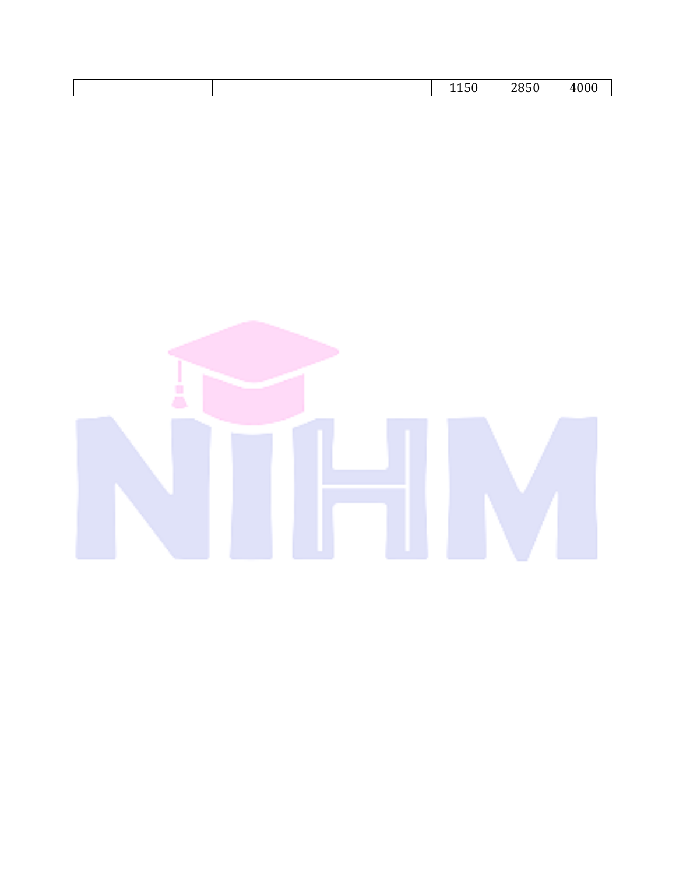| 1100<br>___ |  |  | -<br>$\ddot{\phantom{1}}$ | 20E <sub>0</sub><br>, o o | nnn<br>$\overline{\phantom{a}}$<br>∙v∪ |
|-------------|--|--|---------------------------|---------------------------|----------------------------------------|
|-------------|--|--|---------------------------|---------------------------|----------------------------------------|

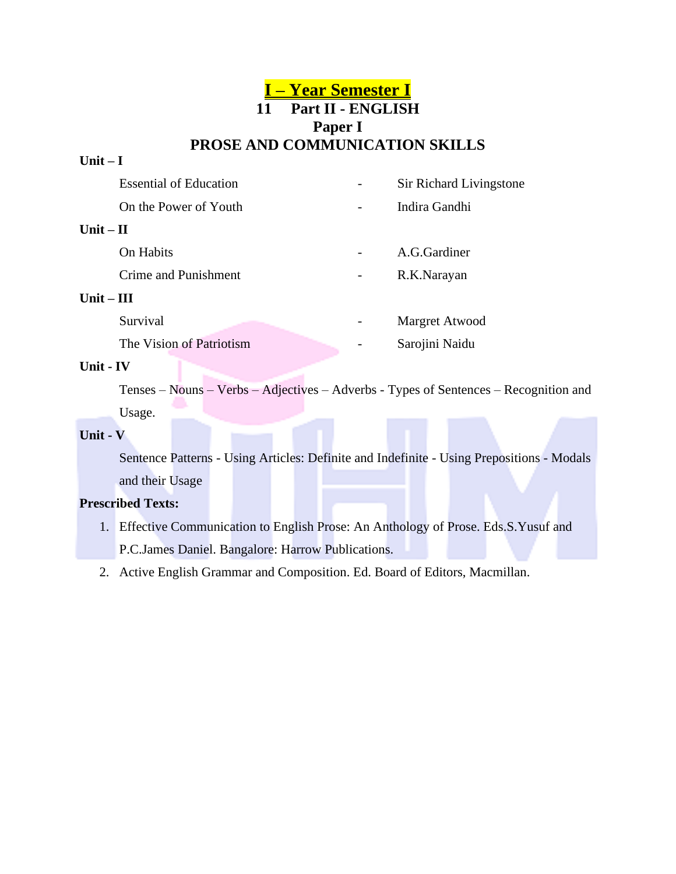### **I – Year Semester I 11 Part II - ENGLISH Paper I PROSE AND COMMUNICATION SKILLS**

#### **Unit – I**

|              | <b>Essential of Education</b> | Sir Richard Livingstone |
|--------------|-------------------------------|-------------------------|
|              | On the Power of Youth         | Indira Gandhi           |
| Unit $-$ II  |                               |                         |
| On Habits    |                               | A.G.Gardiner            |
|              | Crime and Punishment          | R.K.Narayan             |
| Unit $-$ III |                               |                         |
| Survival     |                               | Margret Atwood          |
|              | The Vision of Patriotism      | Sarojini Naidu          |

#### **Unit - IV**

Tenses – Nouns – Verbs – Adjectives – Adverbs - Types of Sentences – Recognition and Usage.

#### **Unit - V**

Sentence Patterns - Using Articles: Definite and Indefinite - Using Prepositions - Modals and their Usage

#### **Prescribed Texts:**

- 1. Effective Communication to English Prose: An Anthology of Prose. Eds.S.Yusuf and P.C.James Daniel. Bangalore: Harrow Publications.
- 2. Active English Grammar and Composition. Ed. Board of Editors, Macmillan.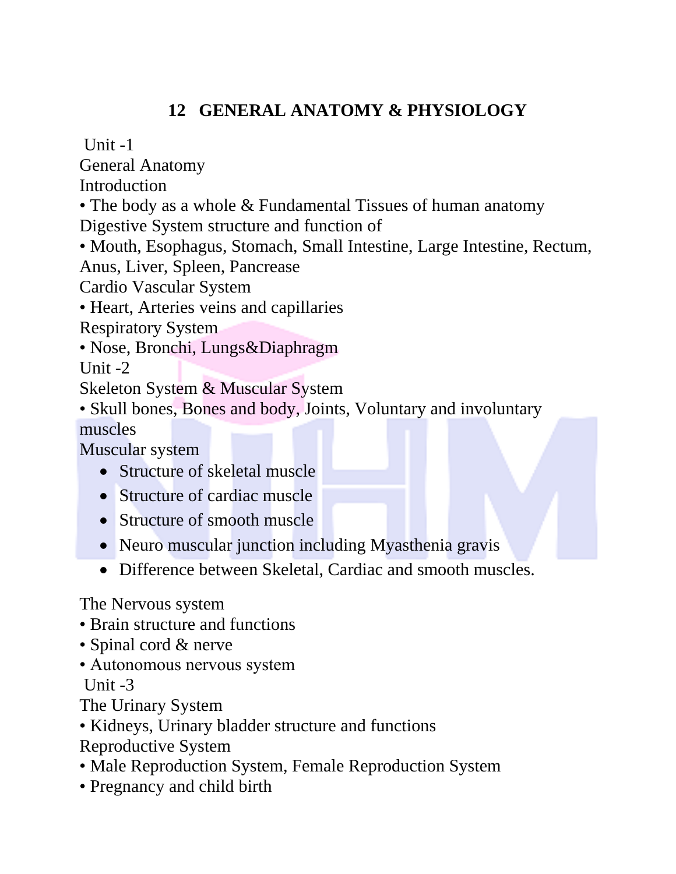# **12 GENERAL ANATOMY & PHYSIOLOGY**

Unit  $-1$ 

General Anatomy

**Introduction** 

• The body as a whole & Fundamental Tissues of human anatomy Digestive System structure and function of

• Mouth, Esophagus, Stomach, Small Intestine, Large Intestine, Rectum, Anus, Liver, Spleen, Pancrease

Cardio Vascular System

• Heart, Arteries veins and capillaries

Respiratory System

• Nose, Bronchi, Lungs&Diaphragm

Unit -2

Skeleton System & Muscular System

• Skull bones, Bones and body, Joints, Voluntary and involuntary muscles

Muscular system

- Structure of skeletal muscle
- Structure of cardiac muscle
- Structure of smooth muscle
- Neuro muscular junction including Myasthenia gravis
- Difference between Skeletal, Cardiac and smooth muscles.

The Nervous system

- Brain structure and functions
- Spinal cord & nerve
- Autonomous nervous system Unit -3

The Urinary System

- Kidneys, Urinary bladder structure and functions
- Reproductive System
- Male Reproduction System, Female Reproduction System
- Pregnancy and child birth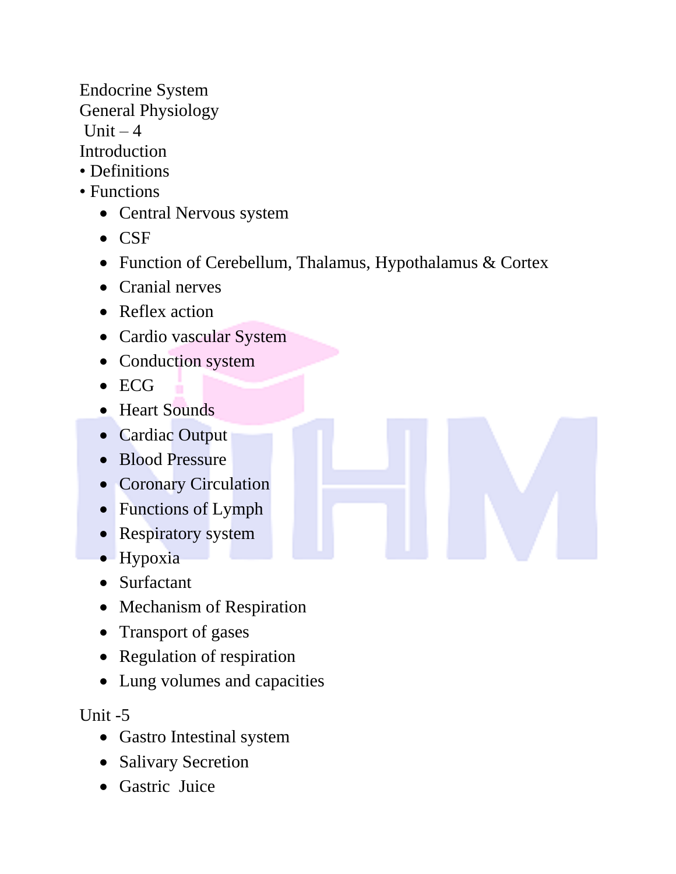Endocrine System General Physiology

Unit  $-4$ 

**Introduction** 

- Definitions
- Functions
	- Central Nervous system
	- CSF
	- Function of Cerebellum, Thalamus, Hypothalamus & Cortex
	- Cranial nerves
	- Reflex action
	- Cardio vascular System
	- Conduction system
	- ECG
	- Heart Sounds
	- Cardiac Output
	- Blood Pressure
	- Coronary Circulation
	- Functions of Lymph
	- Respiratory system
	- Hypoxia
	- Surfactant
	- Mechanism of Respiration
	- Transport of gases
	- Regulation of respiration
	- Lung volumes and capacities

Unit -5

- Gastro Intestinal system
- Salivary Secretion
- Gastric Juice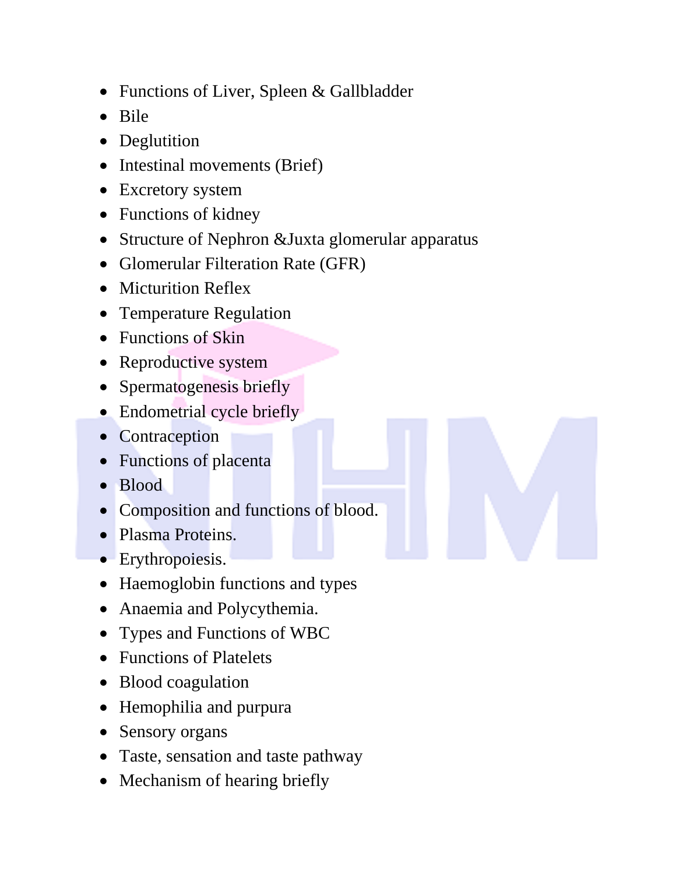- Functions of Liver, Spleen & Gallbladder
- Bile
- Deglutition
- Intestinal movements (Brief)
- Excretory system
- Functions of kidney
- Structure of Nephron &Juxta glomerular apparatus
- Glomerular Filteration Rate (GFR)
- Micturition Reflex
- Temperature Regulation
- Functions of Skin
- Reproductive system
- Spermatogenesis briefly
- Endometrial cycle briefly
- Contraception
- Functions of placenta
- Blood
- Composition and functions of blood.
- Plasma Proteins.
- Erythropoiesis.
- Haemoglobin functions and types
- Anaemia and Polycythemia.
- Types and Functions of WBC
- Functions of Platelets
- Blood coagulation
- Hemophilia and purpura
- Sensory organs
- Taste, sensation and taste pathway
- Mechanism of hearing briefly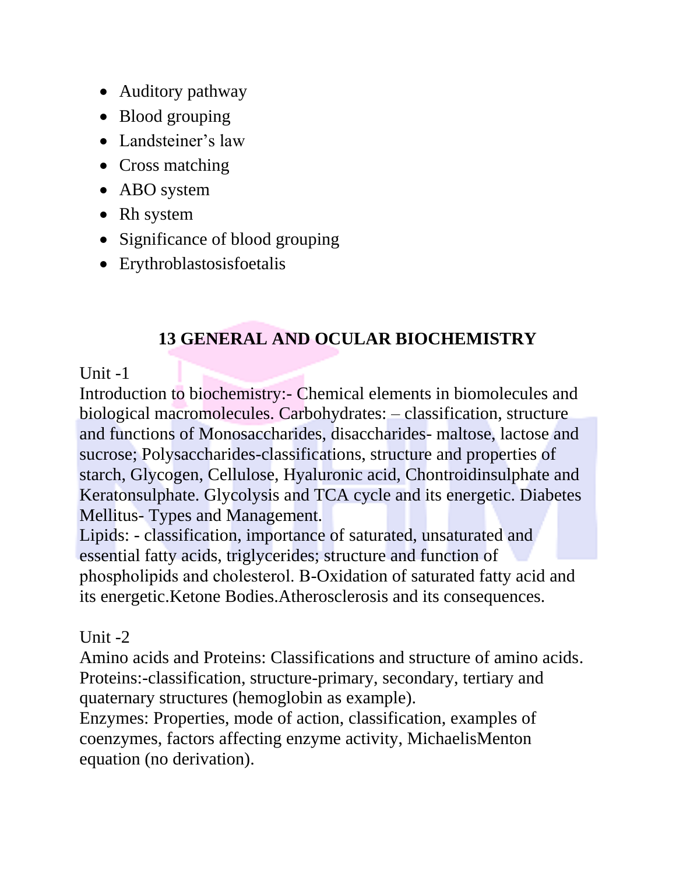- Auditory pathway
- Blood grouping
- Landsteiner's law
- Cross matching
- ABO system
- Rh system
- Significance of blood grouping
- Erythroblastosisfoetalis

# **13 GENERAL AND OCULAR BIOCHEMISTRY**

## Unit  $-1$

Introduction to biochemistry:- Chemical elements in biomolecules and biological macromolecules. Carbohydrates: – classification, structure and functions of Monosaccharides, disaccharides- maltose, lactose and sucrose; Polysaccharides-classifications, structure and properties of starch, Glycogen, Cellulose, Hyaluronic acid, Chontroidinsulphate and Keratonsulphate. Glycolysis and TCA cycle and its energetic. Diabetes Mellitus- Types and Management.

Lipids: - classification, importance of saturated, unsaturated and essential fatty acids, triglycerides; structure and function of phospholipids and cholesterol. Β-Oxidation of saturated fatty acid and its energetic.Ketone Bodies.Atherosclerosis and its consequences.

### Unit  $-2$

Amino acids and Proteins: Classifications and structure of amino acids. Proteins:-classification, structure-primary, secondary, tertiary and quaternary structures (hemoglobin as example).

Enzymes: Properties, mode of action, classification, examples of coenzymes, factors affecting enzyme activity, MichaelisMenton equation (no derivation).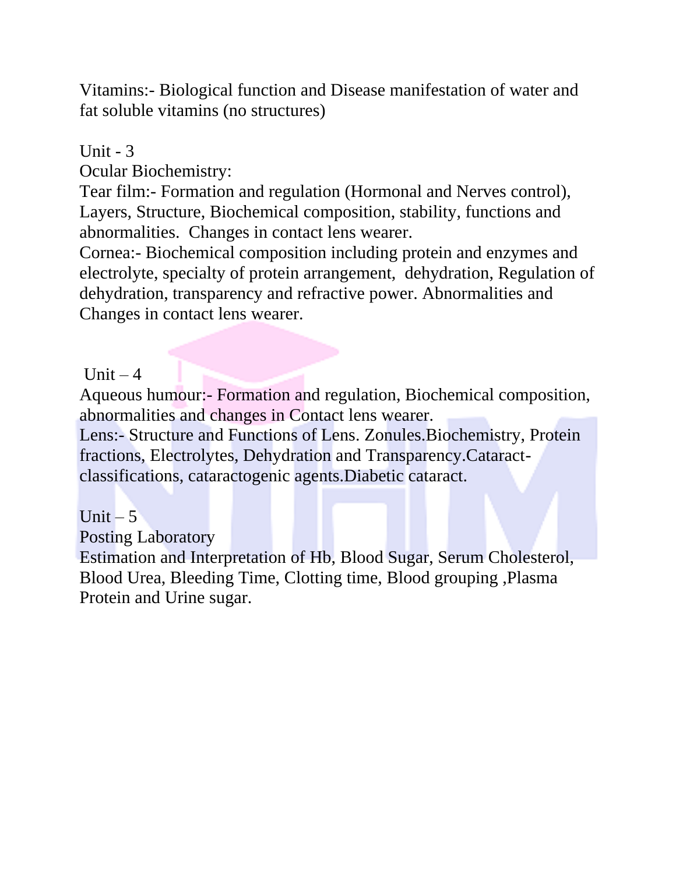Vitamins:- Biological function and Disease manifestation of water and fat soluble vitamins (no structures)

## Unit  $-3$

Ocular Biochemistry:

Tear film:- Formation and regulation (Hormonal and Nerves control), Layers, Structure, Biochemical composition, stability, functions and abnormalities. Changes in contact lens wearer.

Cornea:- Biochemical composition including protein and enzymes and electrolyte, specialty of protein arrangement, dehydration, Regulation of dehydration, transparency and refractive power. Abnormalities and Changes in contact lens wearer.

Unit  $-4$ 

Aqueous humour:- Formation and regulation, Biochemical composition, abnormalities and changes in Contact lens wearer.

Lens:- Structure and Functions of Lens. Zonules.Biochemistry, Protein fractions, Electrolytes, Dehydration and Transparency.Cataractclassifications, cataractogenic agents.Diabetic cataract.

Unit  $-5$ 

Posting Laboratory

Estimation and Interpretation of Hb, Blood Sugar, Serum Cholesterol, Blood Urea, Bleeding Time, Clotting time, Blood grouping ,Plasma Protein and Urine sugar.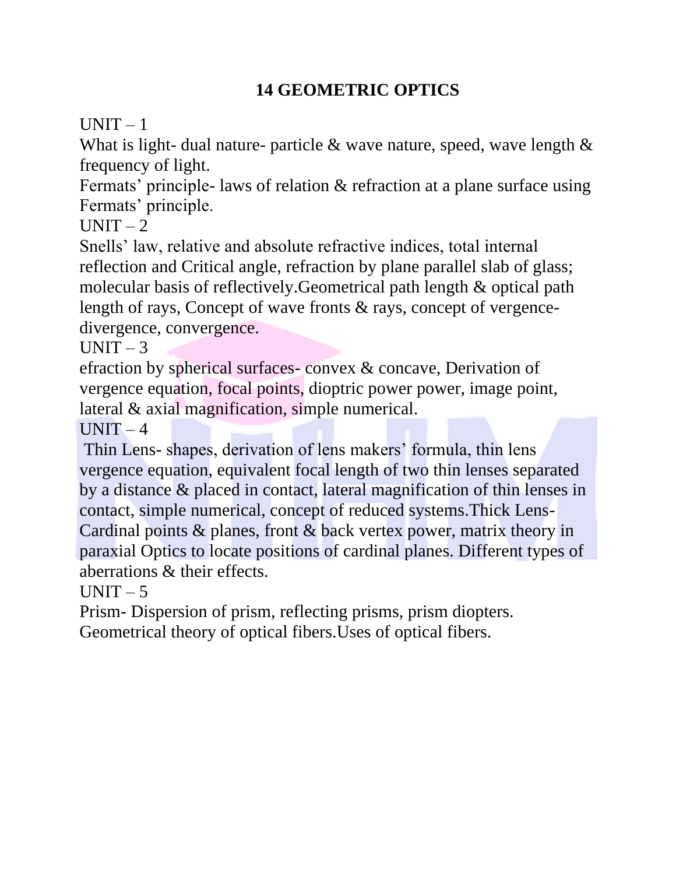# **14 GEOMETRIC OPTICS**

 $UNIT - 1$ 

What is light- dual nature- particle  $\&$  wave nature, speed, wave length  $\&$ frequency of light.

Fermats' principle- laws of relation & refraction at a plane surface using Fermats' principle.

 $UNIT - 2$ 

Snells' law, relative and absolute refractive indices, total internal reflection and Critical angle, refraction by plane parallel slab of glass; molecular basis of reflectively.Geometrical path length & optical path length of rays, Concept of wave fronts & rays, concept of vergencedivergence, convergence.

 $UNIT - 3$ 

efraction by spherical surfaces- convex & concave, Derivation of vergence equation, focal points, dioptric power power, image point, lateral & axial magnification, simple numerical.

 $UNIT-4$ 

Thin Lens- shapes, derivation of lens makers' formula, thin lens vergence equation, equivalent focal length of two thin lenses separated by a distance & placed in contact, lateral magnification of thin lenses in contact, simple numerical, concept of reduced systems.Thick Lens-Cardinal points & planes, front & back vertex power, matrix theory in paraxial Optics to locate positions of cardinal planes. Different types of aberrations & their effects.

 $UNIT - 5$ 

Prism- Dispersion of prism, reflecting prisms, prism diopters. Geometrical theory of optical fibers.Uses of optical fibers.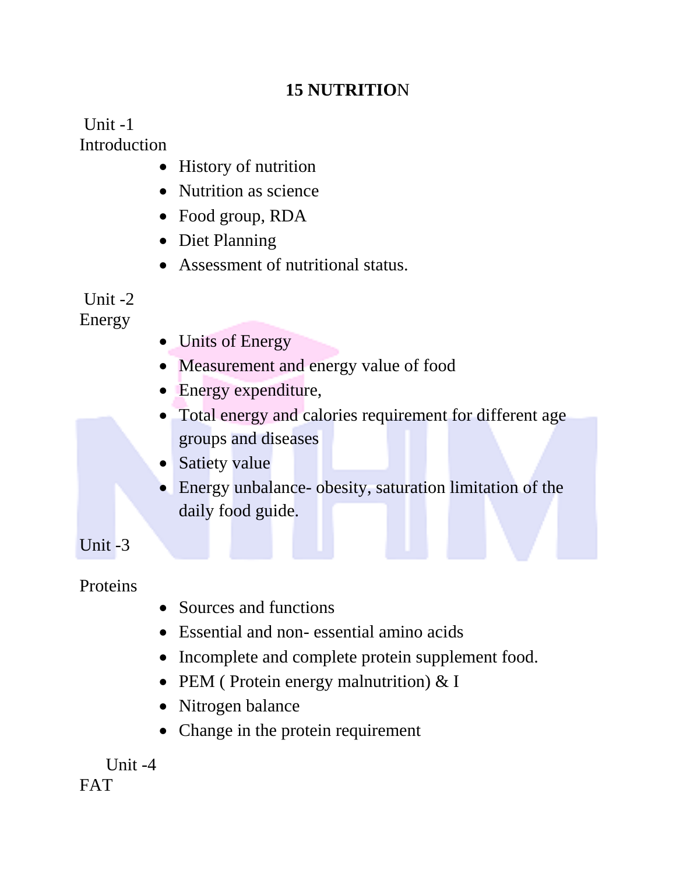# **15 NUTRITIO**N

 $Unit -1$ **Introduction** 

- History of nutrition
- Nutrition as science
- Food group, RDA
- Diet Planning
- Assessment of nutritional status.

# Unit -2

Energy

- Units of Energy
- Measurement and energy value of food
- Energy expenditure,
- Total energy and calories requirement for different age groups and diseases
- Satiety value
- Energy unbalance- obesity, saturation limitation of the daily food guide.

Unit -3

**Proteins** 

- Sources and functions
- Essential and non- essential amino acids
- Incomplete and complete protein supplement food.
- PEM (Protein energy malnutrition) & I
- Nitrogen balance
- Change in the protein requirement

 Unit -4 FAT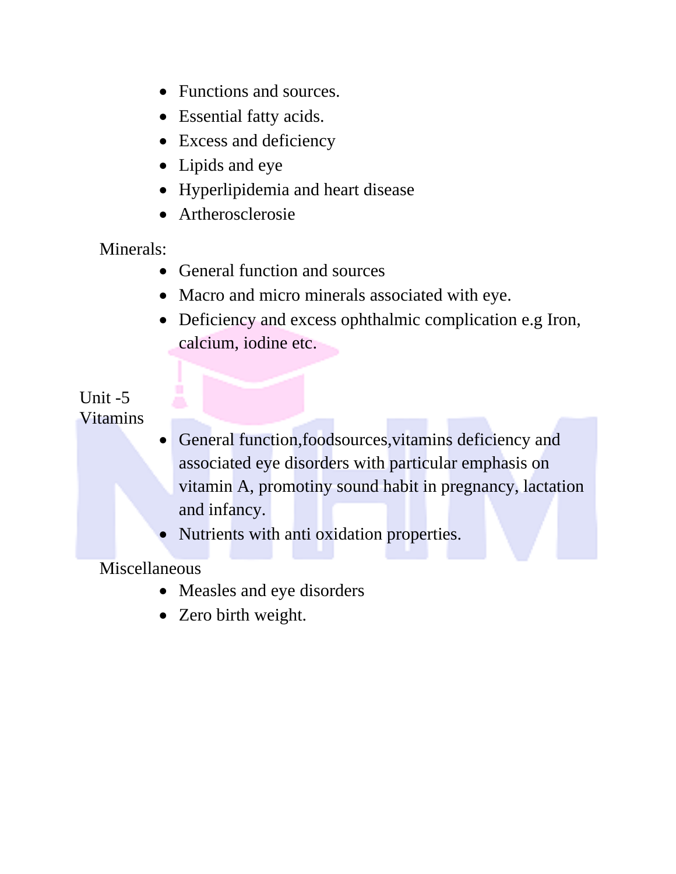- Functions and sources.
- Essential fatty acids.
- Excess and deficiency
- Lipids and eye
- Hyperlipidemia and heart disease
- Artherosclerosie

Minerals:

- General function and sources
- Macro and micro minerals associated with eye.
- Deficiency and excess ophthalmic complication e.g Iron, calcium, iodine etc.

### Unit -5 Vitamins

- General function,foodsources,vitamins deficiency and associated eye disorders with particular emphasis on vitamin A, promotiny sound habit in pregnancy, lactation and infancy.
- Nutrients with anti oxidation properties.

Miscellaneous

- Measles and eye disorders
- Zero birth weight.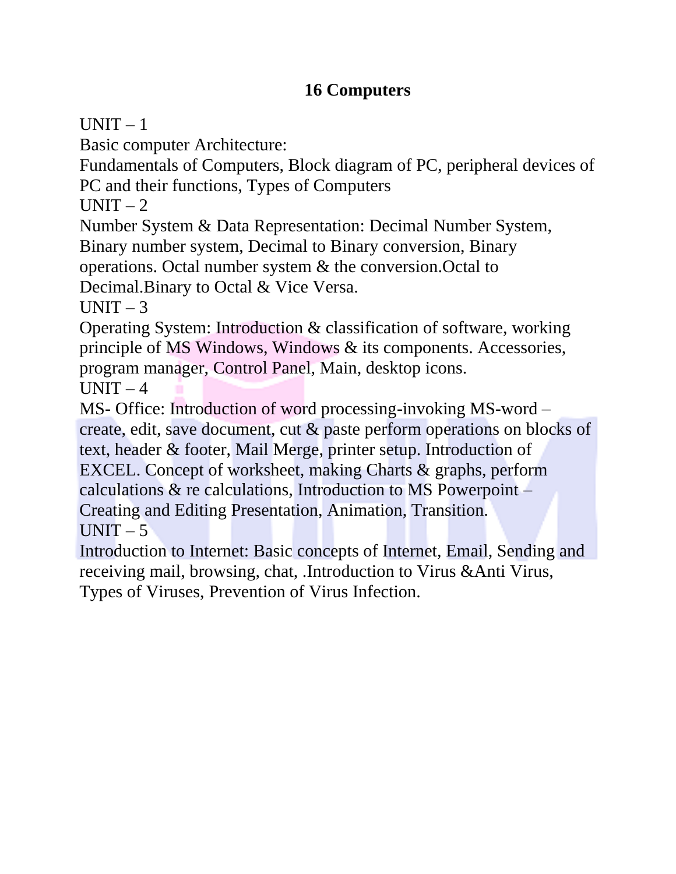# **16 Computers**

 $UNIT - 1$ 

Basic computer Architecture:

Fundamentals of Computers, Block diagram of PC, peripheral devices of PC and their functions, Types of Computers

 $UNIT - 2$ 

Number System & Data Representation: Decimal Number System, Binary number system, Decimal to Binary conversion, Binary operations. Octal number system & the conversion.Octal to

Decimal.Binary to Octal & Vice Versa.

 $UNIT-3$ 

Operating System: Introduction & classification of software, working principle of MS Windows, Windows & its components. Accessories, program manager, Control Panel, Main, desktop icons.

 $UNIT-4$ 

MS- Office: Introduction of word processing-invoking MS-word – create, edit, save document, cut & paste perform operations on blocks of text, header & footer, Mail Merge, printer setup. Introduction of EXCEL. Concept of worksheet, making Charts & graphs, perform calculations & re calculations, Introduction to MS Powerpoint – Creating and Editing Presentation, Animation, Transition.  $UNIT - 5$ 

Introduction to Internet: Basic concepts of Internet, Email, Sending and receiving mail, browsing, chat, .Introduction to Virus &Anti Virus, Types of Viruses, Prevention of Virus Infection.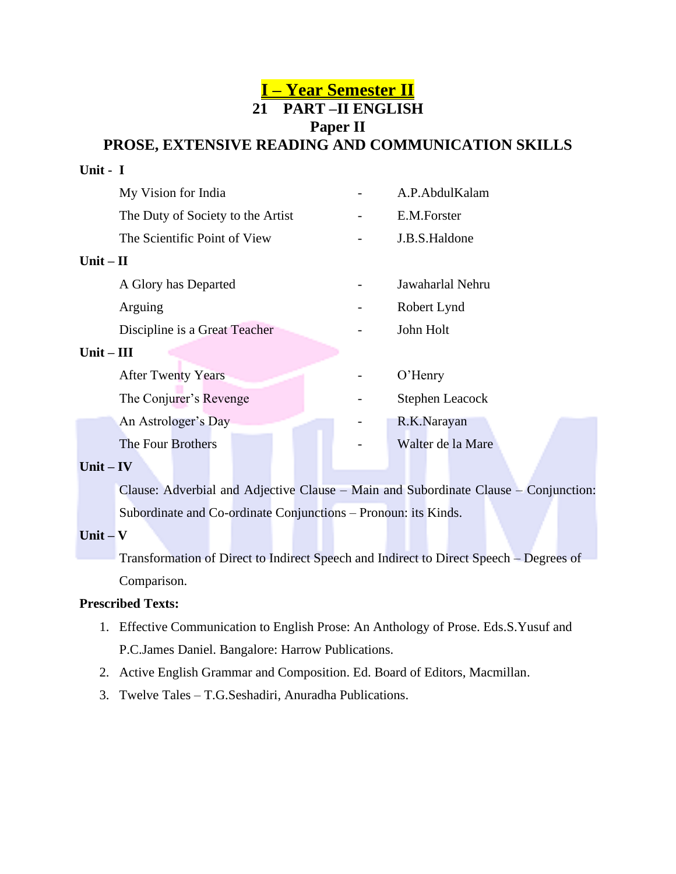### **I – Year Semester II 21 PART –II ENGLISH Paper II PROSE, EXTENSIVE READING AND COMMUNICATION SKILLS**

# **Unit - I** My Vision for India **A.P.AbdulKalam** The Duty of Society to the Artist **- E.M.Forster** The Scientific Point of View - J.B.S.Haldone **Unit – II** A Glory has Departed **A Glory has Departed 1** Jawaharlal Nehru Arguing **-** Robert Lynd Discipline is a Great Teacher **-** John Holt **Unit – III** After Twenty Years **- O'Henry** The Conjurer's Revenge **Conservery** Stephen Leacock An Astrologer's Day **- R.K.Narayan** The Four Brothers **The Four Brothers COLLEGE FOUR SET ASSESS**

#### **Unit – IV**

Clause: Adverbial and Adjective Clause – Main and Subordinate Clause – Conjunction: Subordinate and Co-ordinate Conjunctions – Pronoun: its Kinds.

#### **Unit – V**

Transformation of Direct to Indirect Speech and Indirect to Direct Speech – Degrees of Comparison.

#### **Prescribed Texts:**

- 1. Effective Communication to English Prose: An Anthology of Prose. Eds.S.Yusuf and P.C.James Daniel. Bangalore: Harrow Publications.
- 2. Active English Grammar and Composition. Ed. Board of Editors, Macmillan.
- 3. Twelve Tales T.G.Seshadiri, Anuradha Publications.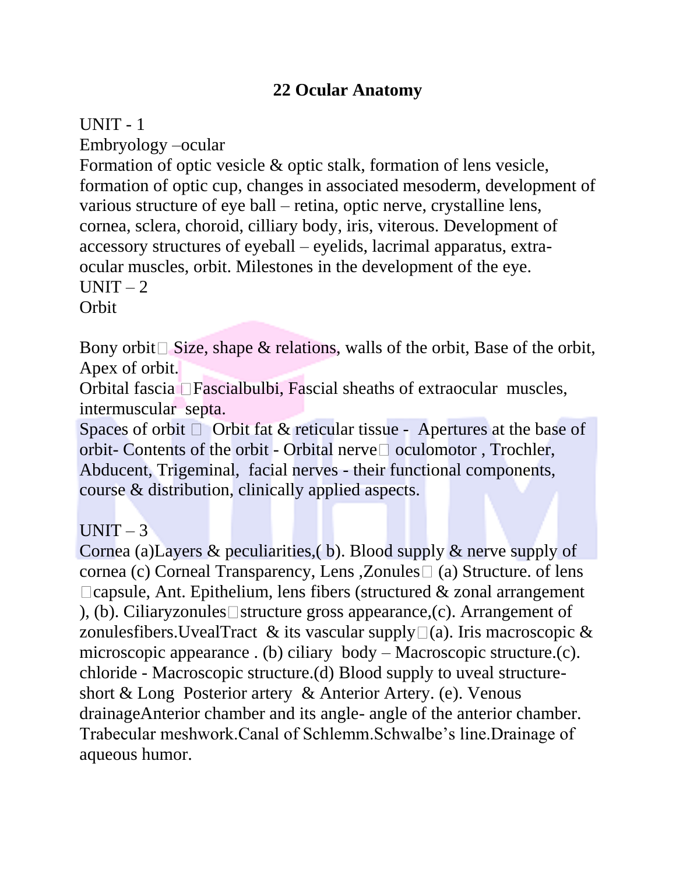# **22 Ocular Anatomy**

### UNIT - 1

Embryology –ocular

Formation of optic vesicle & optic stalk, formation of lens vesicle, formation of optic cup, changes in associated mesoderm, development of various structure of eye ball – retina, optic nerve, crystalline lens, cornea, sclera, choroid, cilliary body, iris, viterous. Development of accessory structures of eyeball – eyelids, lacrimal apparatus, extraocular muscles, orbit. Milestones in the development of the eye.  $UNIT - 2$ **Orbit** 

Bony orbit Size, shape & relations, walls of the orbit, Base of the orbit, Apex of orbit.

Orbital fascia Fascialbulbi, Fascial sheaths of extraocular muscles, intermuscular septa.

Spaces of orbit  $\Box$  Orbit fat & reticular tissue - Apertures at the base of orbit- Contents of the orbit - Orbital nerve  $\square$  oculomotor, Trochler, Abducent, Trigeminal, facial nerves - their functional components, course & distribution, clinically applied aspects.

## $UNIT-3$

Cornea (a)Layers & peculiarities,( b). Blood supply & nerve supply of cornea (c) Corneal Transparency, Lens , Zonules  $\Box$  (a) Structure. of lens  $\Box$ capsule, Ant. Epithelium, lens fibers (structured & zonal arrangement ), (b). Ciliaryzonules structure gross appearance, (c). Arrangement of zonulesfibers. UvealTract & its vascular supply  $\Box(a)$ . Iris macroscopic & microscopic appearance . (b) ciliary body – Macroscopic structure.(c). chloride - Macroscopic structure.(d) Blood supply to uveal structureshort & Long Posterior artery & Anterior Artery. (e). Venous drainageAnterior chamber and its angle- angle of the anterior chamber. Trabecular meshwork.Canal of Schlemm.Schwalbe's line.Drainage of aqueous humor.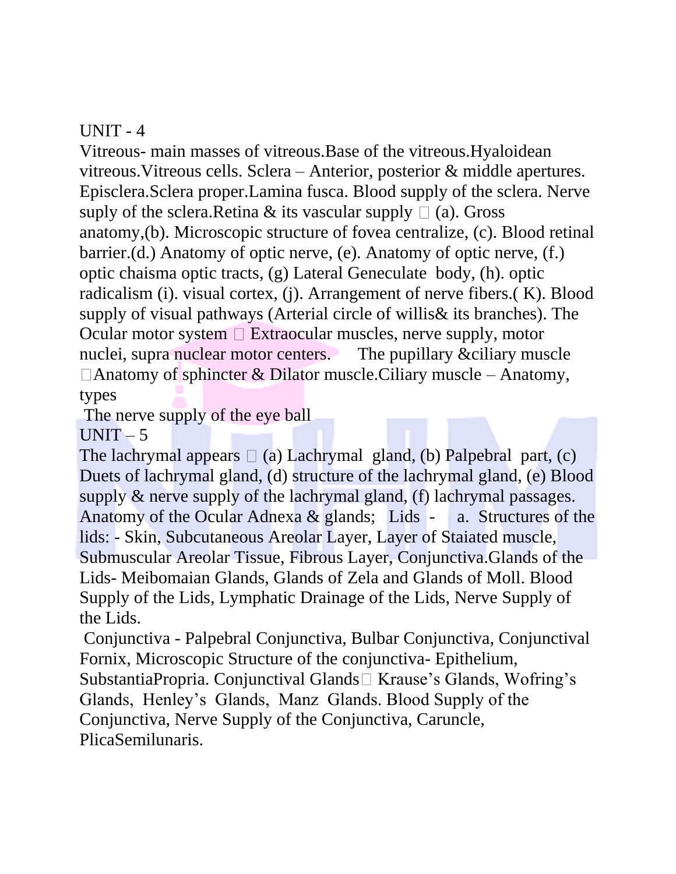## $UNIT - 4$

Vitreous- main masses of vitreous.Base of the vitreous.Hyaloidean vitreous.Vitreous cells. Sclera – Anterior, posterior & middle apertures. Episclera.Sclera proper.Lamina fusca. Blood supply of the sclera. Nerve suply of the sclera.Retina & its vascular supply  $\Box$  (a). Gross anatomy,(b). Microscopic structure of fovea centralize, (c). Blood retinal barrier.(d.) Anatomy of optic nerve, (e). Anatomy of optic nerve, (f.) optic chaisma optic tracts, (g) Lateral Geneculate body, (h). optic radicalism (i). visual cortex, (j). Arrangement of nerve fibers.( K). Blood supply of visual pathways (Arterial circle of willis& its branches). The Ocular motor system  $\Box$  Extraocular muscles, nerve supply, motor nuclei, supra nuclear motor centers. The pupillary &ciliary muscle  $\Box$  Anatomy of sphincter & Dilator muscle. Ciliary muscle – Anatomy, types

The nerve supply of the eye ball

 $UNIT - 5$ 

The lachrymal appears  $\Box$  (a) Lachrymal gland, (b) Palpebral part, (c) Duets of lachrymal gland, (d) structure of the lachrymal gland, (e) Blood supply & nerve supply of the lachrymal gland, (f) lachrymal passages. Anatomy of the Ocular Adnexa  $\&$  glands; Lids - a. Structures of the lids: - Skin, Subcutaneous Areolar Layer, Layer of Staiated muscle, Submuscular Areolar Tissue, Fibrous Layer, Conjunctiva.Glands of the Lids- Meibomaian Glands, Glands of Zela and Glands of Moll. Blood Supply of the Lids, Lymphatic Drainage of the Lids, Nerve Supply of the Lids.

Conjunctiva - Palpebral Conjunctiva, Bulbar Conjunctiva, Conjunctival Fornix, Microscopic Structure of the conjunctiva- Epithelium, SubstantiaPropria. Conjunctival Glands $\Box$  Krause's Glands, Wofring's Glands, Henley's Glands, Manz Glands. Blood Supply of the Conjunctiva, Nerve Supply of the Conjunctiva, Caruncle, PlicaSemilunaris.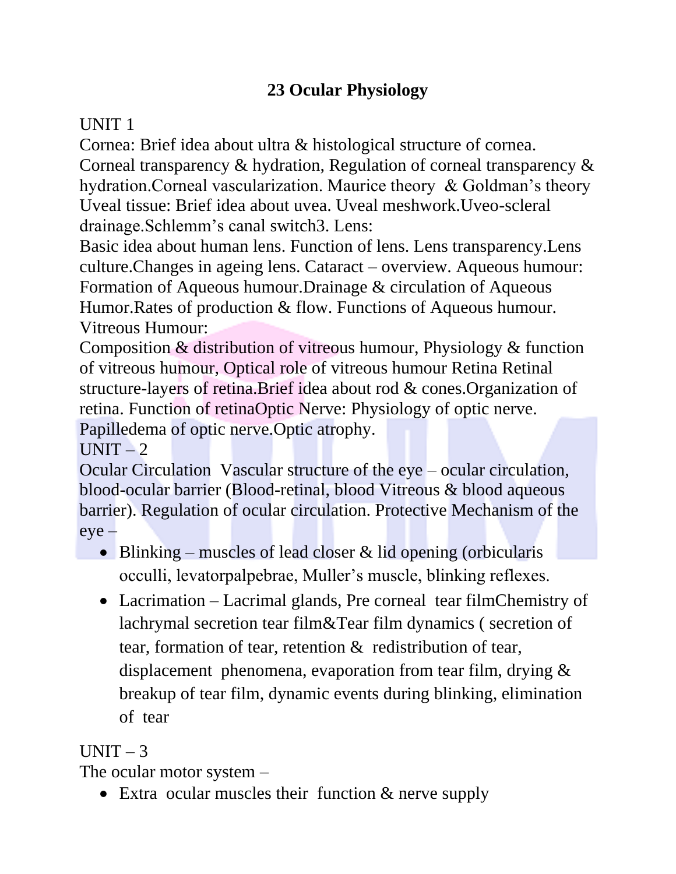# **23 Ocular Physiology**

# UNIT 1

Cornea: Brief idea about ultra & histological structure of cornea. Corneal transparency & hydration, Regulation of corneal transparency & hydration.Corneal vascularization. Maurice theory & Goldman's theory Uveal tissue: Brief idea about uvea. Uveal meshwork.Uveo-scleral drainage.Schlemm's canal switch3. Lens:

Basic idea about human lens. Function of lens. Lens transparency.Lens culture.Changes in ageing lens. Cataract – overview. Aqueous humour: Formation of Aqueous humour.Drainage & circulation of Aqueous Humor.Rates of production & flow. Functions of Aqueous humour. Vitreous Humour:

Composition & distribution of vitreous humour, Physiology & function of vitreous humour, Optical role of vitreous humour Retina Retinal structure-layers of retina.Brief idea about rod & cones.Organization of retina. Function of retinaOptic Nerve: Physiology of optic nerve. Papilledema of optic nerve.Optic atrophy.

 $UNIT - 2$ 

Ocular Circulation Vascular structure of the eye – ocular circulation, blood-ocular barrier (Blood-retinal, blood Vitreous & blood aqueous barrier). Regulation of ocular circulation. Protective Mechanism of the eye –

- Blinking muscles of lead closer & lid opening (orbicularis occulli, levatorpalpebrae, Muller's muscle, blinking reflexes.
- Lacrimation Lacrimal glands, Pre corneal tear filmChemistry of lachrymal secretion tear film&Tear film dynamics ( secretion of tear, formation of tear, retention & redistribution of tear, displacement phenomena, evaporation from tear film, drying & breakup of tear film, dynamic events during blinking, elimination of tear

# $UNIT-3$

The ocular motor system –

• Extra ocular muscles their function & nerve supply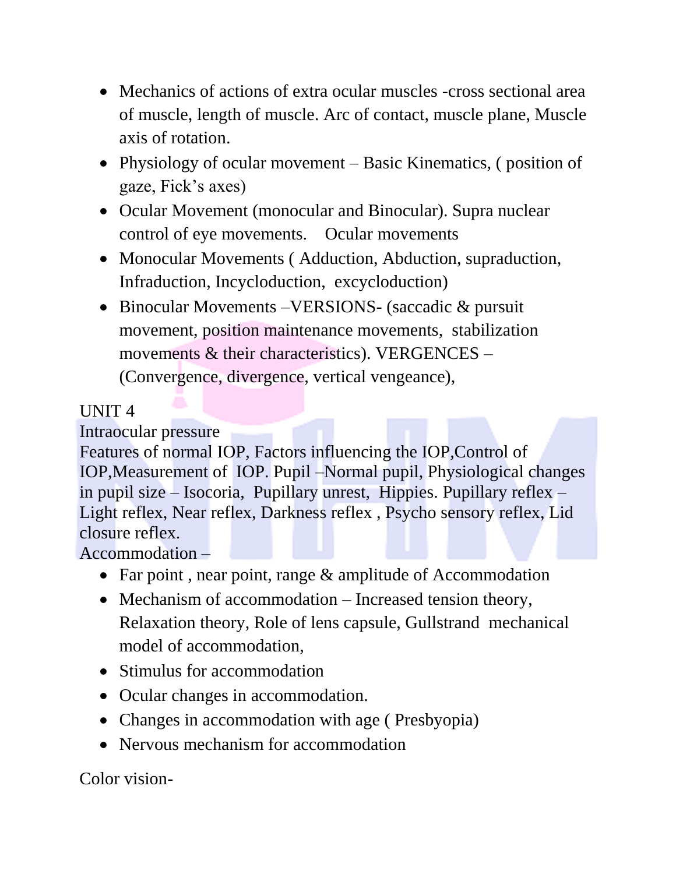- Mechanics of actions of extra ocular muscles -cross sectional area of muscle, length of muscle. Arc of contact, muscle plane, Muscle axis of rotation.
- Physiology of ocular movement Basic Kinematics, ( position of gaze, Fick's axes)
- Ocular Movement (monocular and Binocular). Supra nuclear control of eye movements. Ocular movements
- Monocular Movements ( Adduction, Abduction, supraduction, Infraduction, Incycloduction, excycloduction)
- Binocular Movements VERSIONS- (saccadic & pursuit movement, position maintenance movements, stabilization movements & their characteristics). VERGENCES – (Convergence, divergence, vertical vengeance),

# UNIT 4

Intraocular pressure

Features of normal IOP, Factors influencing the IOP,Control of IOP,Measurement of IOP. Pupil –Normal pupil, Physiological changes in pupil size – Isocoria, Pupillary unrest, Hippies. Pupillary reflex – Light reflex, Near reflex, Darkness reflex , Psycho sensory reflex, Lid closure reflex.

Accommodation –

- Far point, near point, range & amplitude of Accommodation
- Mechanism of accommodation Increased tension theory, Relaxation theory, Role of lens capsule, Gullstrand mechanical model of accommodation,
- Stimulus for accommodation
- Ocular changes in accommodation.
- Changes in accommodation with age ( Presbyopia)
- Nervous mechanism for accommodation

Color vision-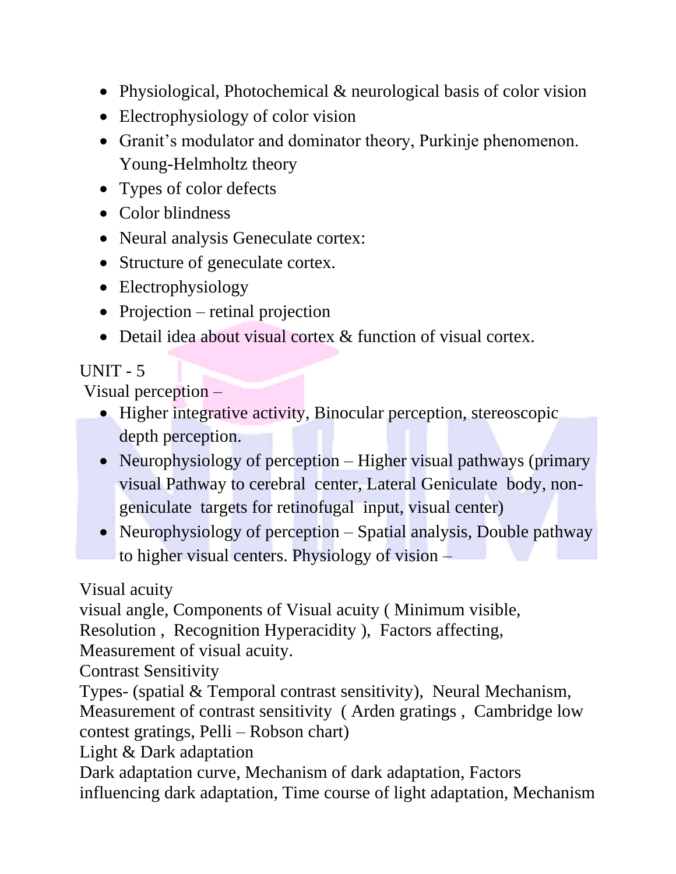- Physiological, Photochemical & neurological basis of color vision
- Electrophysiology of color vision
- Granit's modulator and dominator theory, Purkinje phenomenon. Young-Helmholtz theory
- Types of color defects
- Color blindness
- Neural analysis Geneculate cortex:
- Structure of geneculate cortex.
- Electrophysiology
- Projection retinal projection
- Detail idea about visual cortex & function of visual cortex.

# $UNIT - 5$

Visual perception –

- Higher integrative activity, Binocular perception, stereoscopic depth perception.
- Neurophysiology of perception Higher visual pathways (primary visual Pathway to cerebral center, Lateral Geniculate body, nongeniculate targets for retinofugal input, visual center)
- Neurophysiology of perception Spatial analysis, Double pathway to higher visual centers. Physiology of vision –

Visual acuity

visual angle, Components of Visual acuity ( Minimum visible,

Resolution , Recognition Hyperacidity ), Factors affecting,

Measurement of visual acuity.

Contrast Sensitivity

Types- (spatial & Temporal contrast sensitivity), Neural Mechanism, Measurement of contrast sensitivity ( Arden gratings , Cambridge low contest gratings, Pelli – Robson chart)

Light & Dark adaptation

Dark adaptation curve, Mechanism of dark adaptation, Factors influencing dark adaptation, Time course of light adaptation, Mechanism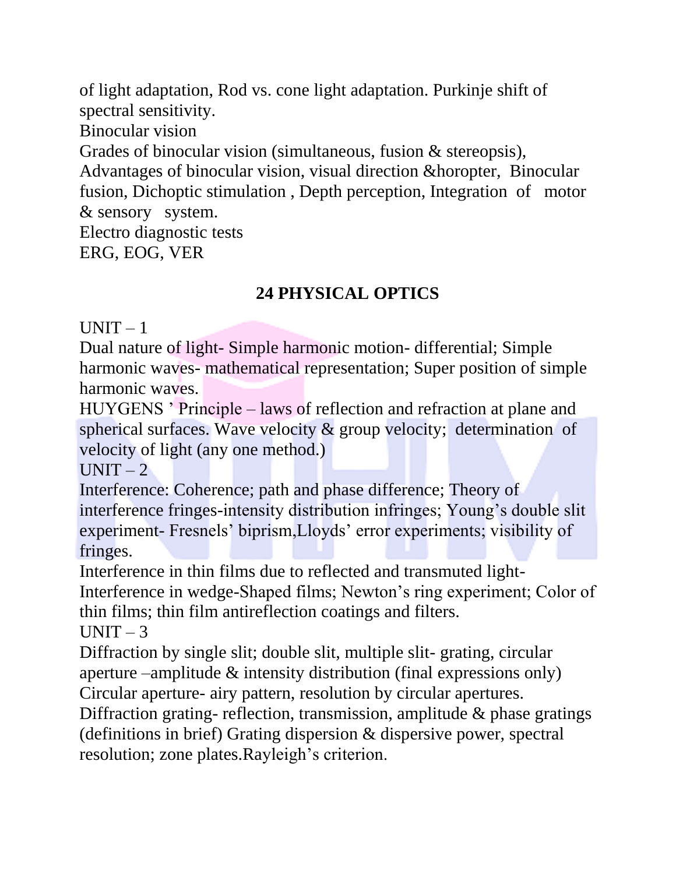of light adaptation, Rod vs. cone light adaptation. Purkinje shift of spectral sensitivity.

Binocular vision

Grades of binocular vision (simultaneous, fusion & stereopsis),

Advantages of binocular vision, visual direction &horopter, Binocular fusion, Dichoptic stimulation , Depth perception, Integration of motor & sensory system.

Electro diagnostic tests ERG, EOG, VER

# **24 PHYSICAL OPTICS**

 $UNIT-1$ 

Dual nature of light- Simple harmonic motion- differential; Simple harmonic waves- mathematical representation; Super position of simple harmonic waves.

HUYGENS ' Principle – laws of reflection and refraction at plane and spherical surfaces. Wave velocity & group velocity; determination of velocity of light (any one method.)

 $UNIT - 2$ 

Interference: Coherence; path and phase difference; Theory of interference fringes-intensity distribution infringes; Young's double slit experiment- Fresnels' biprism,Lloyds' error experiments; visibility of fringes.

Interference in thin films due to reflected and transmuted light-Interference in wedge-Shaped films; Newton's ring experiment; Color of thin films; thin film antireflection coatings and filters.

UNIT  $-3$ 

Diffraction by single slit; double slit, multiple slit-grating, circular aperture –amplitude & intensity distribution (final expressions only) Circular aperture- airy pattern, resolution by circular apertures.

Diffraction grating- reflection, transmission, amplitude & phase gratings (definitions in brief) Grating dispersion & dispersive power, spectral resolution; zone plates.Rayleigh's criterion.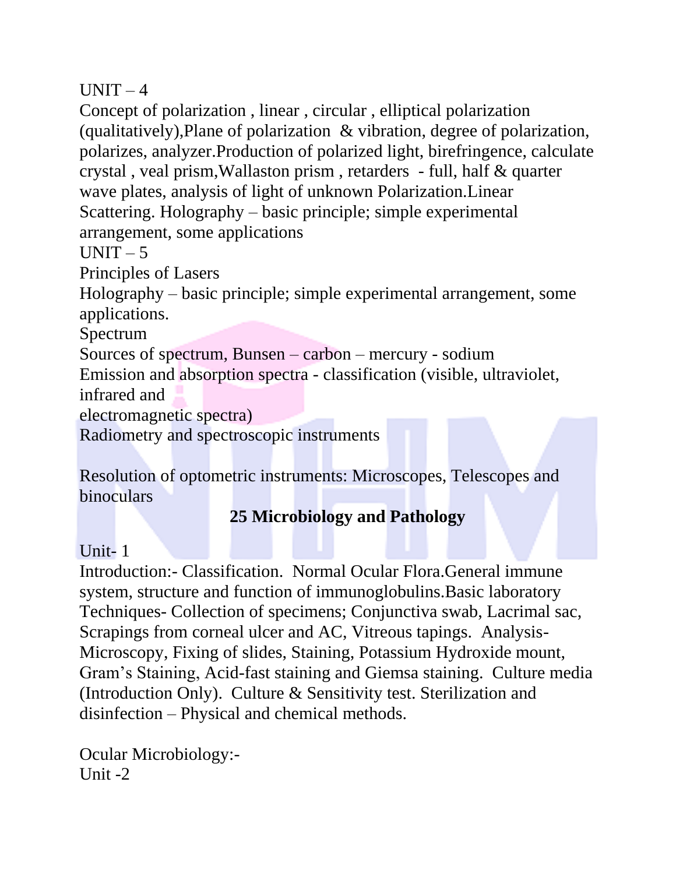$UNIT-4$ 

Concept of polarization , linear , circular , elliptical polarization (qualitatively),Plane of polarization & vibration, degree of polarization, polarizes, analyzer.Production of polarized light, birefringence, calculate crystal , veal prism,Wallaston prism , retarders - full, half & quarter wave plates, analysis of light of unknown Polarization.Linear Scattering. Holography – basic principle; simple experimental arrangement, some applications

 $UNIT - 5$ 

Principles of Lasers

Holography – basic principle; simple experimental arrangement, some applications.

Spectrum

Sources of spectrum, Bunsen – carbon – mercury - sodium Emission and absorption spectra - classification (visible, ultraviolet, infrared and

electromagnetic spectra)

Radiometry and spectroscopic instruments

Resolution of optometric instruments: Microscopes, Telescopes and binoculars

# **25 Microbiology and Pathology**

## Unit- 1

Introduction:- Classification. Normal Ocular Flora.General immune system, structure and function of immunoglobulins.Basic laboratory Techniques- Collection of specimens; Conjunctiva swab, Lacrimal sac, Scrapings from corneal ulcer and AC, Vitreous tapings. Analysis-Microscopy, Fixing of slides, Staining, Potassium Hydroxide mount, Gram's Staining, Acid-fast staining and Giemsa staining. Culture media (Introduction Only). Culture & Sensitivity test. Sterilization and disinfection – Physical and chemical methods.

Ocular Microbiology:- Unit  $-2$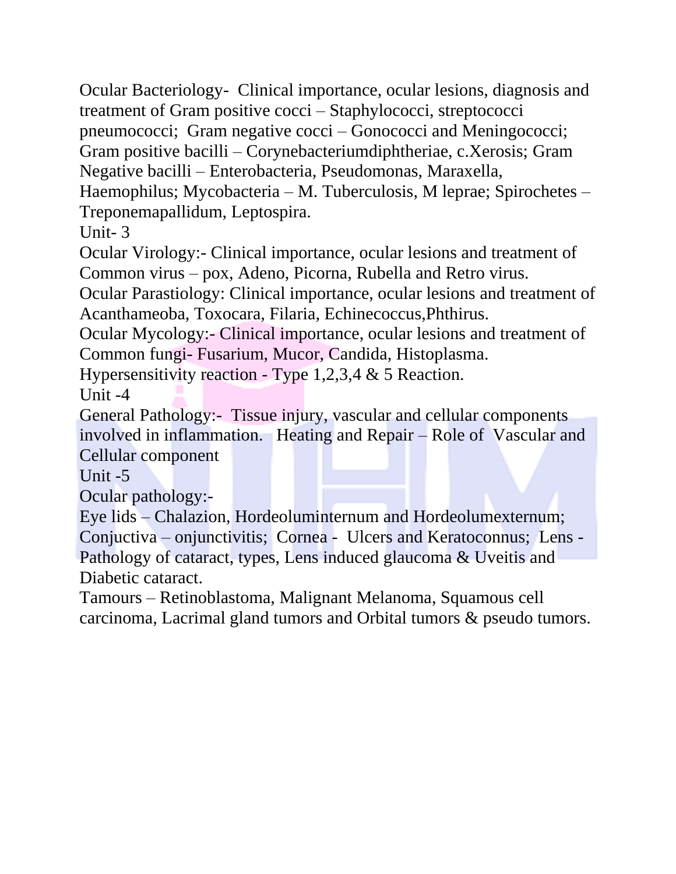Ocular Bacteriology- Clinical importance, ocular lesions, diagnosis and treatment of Gram positive cocci – Staphylococci, streptococci

pneumococci; Gram negative cocci – Gonococci and Meningococci;

Gram positive bacilli – Corynebacteriumdiphtheriae, c.Xerosis; Gram

Negative bacilli – Enterobacteria, Pseudomonas, Maraxella,

Haemophilus; Mycobacteria – M. Tuberculosis, M leprae; Spirochetes – Treponemapallidum, Leptospira.

Unit- 3

Ocular Virology:- Clinical importance, ocular lesions and treatment of Common virus – pox, Adeno, Picorna, Rubella and Retro virus.

Ocular Parastiology: Clinical importance, ocular lesions and treatment of Acanthameoba, Toxocara, Filaria, Echinecoccus,Phthirus.

Ocular Mycology:- Clinical importance, ocular lesions and treatment of Common fungi- Fusarium, Mucor, Candida, Histoplasma.

Hypersensitivity reaction - Type 1,2,3,4 & 5 Reaction.

Unit -4

General Pathology:- Tissue injury, vascular and cellular components involved in inflammation. Heating and Repair – Role of Vascular and Cellular component

Unit -5

Ocular pathology:-

Eye lids – Chalazion, Hordeoluminternum and Hordeolumexternum; Conjuctiva – onjunctivitis; Cornea - Ulcers and Keratoconnus; Lens - Pathology of cataract, types, Lens induced glaucoma & Uveitis and Diabetic cataract.

Tamours – Retinoblastoma, Malignant Melanoma, Squamous cell carcinoma, Lacrimal gland tumors and Orbital tumors & pseudo tumors.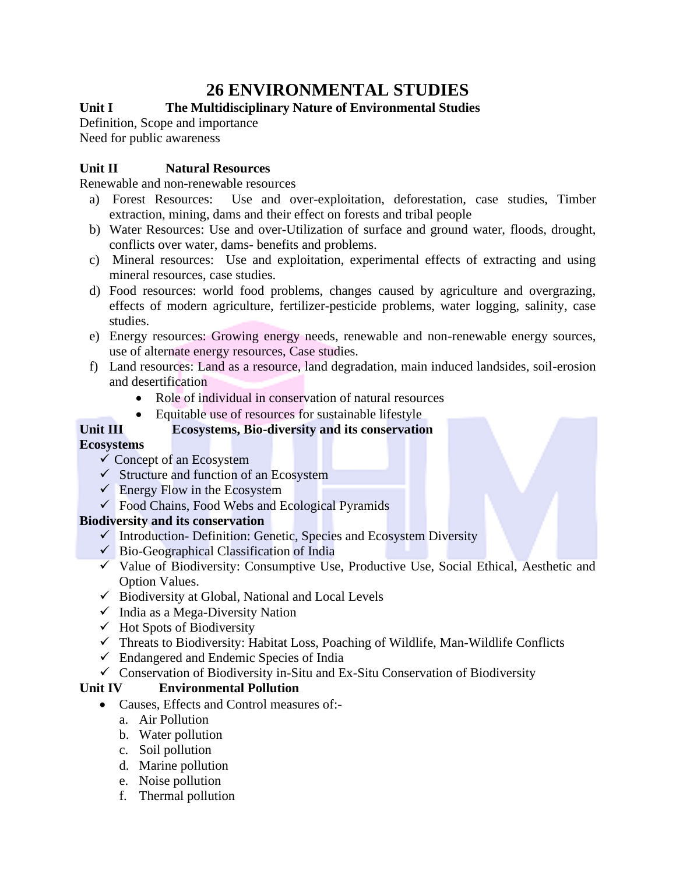# **26 ENVIRONMENTAL STUDIES**

#### **Unit I The Multidisciplinary Nature of Environmental Studies**

Definition, Scope and importance Need for public awareness

#### **Unit II Natural Resources**

Renewable and non-renewable resources

- a) Forest Resources: Use and over-exploitation, deforestation, case studies, Timber extraction, mining, dams and their effect on forests and tribal people
- b) Water Resources: Use and over-Utilization of surface and ground water, floods, drought, conflicts over water, dams- benefits and problems.
- c) Mineral resources: Use and exploitation, experimental effects of extracting and using mineral resources, case studies.
- d) Food resources: world food problems, changes caused by agriculture and overgrazing, effects of modern agriculture, fertilizer-pesticide problems, water logging, salinity, case studies.
- e) Energy resources: Growing energy needs, renewable and non-renewable energy sources, use of alternate energy resources, Case studies.
- f) Land resources: Land as a resource, land degradation, main induced landsides, soil-erosion and desertification
	- Role of individual in conservation of natural resources
	- Equitable use of resources for sustainable lifestyle

#### **Unit III Ecosystems, Bio-diversity and its conservation**

#### **Ecosystems**

- $\checkmark$  Concept of an Ecosystem
- $\checkmark$  Structure and function of an Ecosystem
- $\checkmark$  Energy Flow in the Ecosystem
- $\checkmark$  Food Chains, Food Webs and Ecological Pyramids

#### **Biodiversity and its conservation**

- ✓ Introduction- Definition: Genetic, Species and Ecosystem Diversity
- $\checkmark$  Bio-Geographical Classification of India
- $\checkmark$  Value of Biodiversity: Consumptive Use, Productive Use, Social Ethical, Aesthetic and Option Values.
- $\checkmark$  Biodiversity at Global, National and Local Levels
- $\checkmark$  India as a Mega-Diversity Nation
- $\checkmark$  Hot Spots of Biodiversity
- ✓ Threats to Biodiversity: Habitat Loss, Poaching of Wildlife, Man-Wildlife Conflicts
- $\checkmark$  Endangered and Endemic Species of India
- ✓ Conservation of Biodiversity in-Situ and Ex-Situ Conservation of Biodiversity

#### **Unit IV Environmental Pollution**

- Causes, Effects and Control measures of:
	- a. Air Pollution
	- b. Water pollution
	- c. Soil pollution
	- d. Marine pollution
	- e. Noise pollution
	- f. Thermal pollution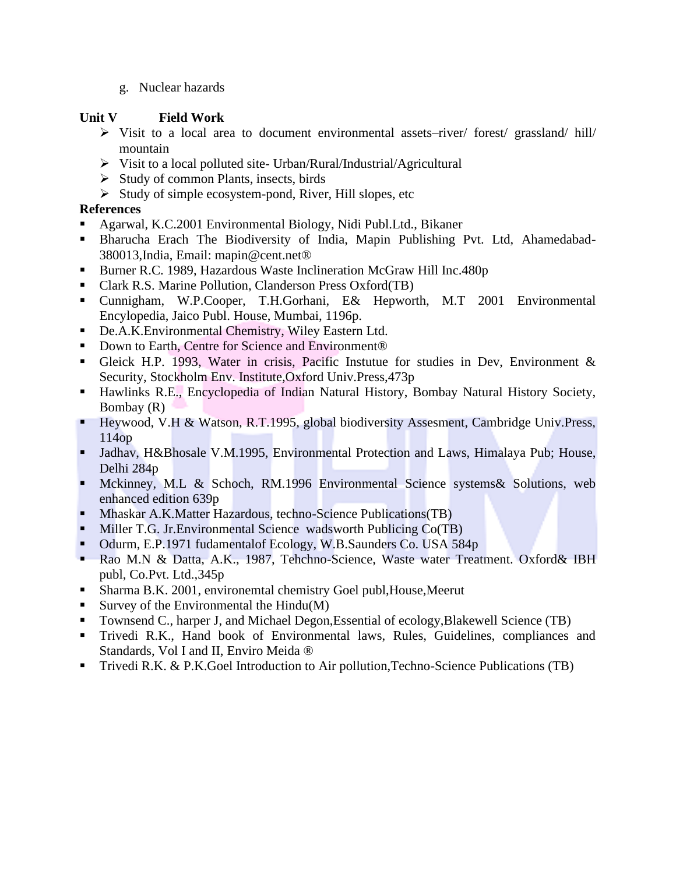g. Nuclear hazards

#### **Unit V Field Work**

- ➢ Visit to a local area to document environmental assets–river/ forest/ grassland/ hill/ mountain
- ➢ Visit to a local polluted site- Urban/Rural/Industrial/Agricultural
- $\triangleright$  Study of common Plants, insects, birds
- ➢ Study of simple ecosystem-pond, River, Hill slopes, etc

#### **References**

- Agarwal, K.C.2001 Environmental Biology, Nidi Publ.Ltd., Bikaner
- Bharucha Erach The Biodiversity of India, Mapin Publishing Pvt. Ltd, Ahamedabad-380013,India, Email: mapin@cent.net®
- Burner R.C. 1989, Hazardous Waste Inclineration McGraw Hill Inc.480p
- Clark R.S. Marine Pollution, Clanderson Press Oxford(TB)
- Cunnigham, W.P.Cooper, T.H.Gorhani, E& Hepworth, M.T 2001 Environmental Encylopedia, Jaico Publ. House, Mumbai, 1196p.
- De.A.K.Environmental Chemistry, Wiley Eastern Ltd.
- Down to Earth, Centre for Science and Environment<sup>®</sup>
- Gleick H.P. 1993, Water in crisis, Pacific Instutue for studies in Dev, Environment & Security, Stockholm Env. Institute,Oxford Univ.Press,473p
- Hawlinks R.E., Encyclopedia of Indian Natural History, Bombay Natural History Society, Bombay (R)
- Heywood, V.H & Watson, R.T.1995, global biodiversity Assesment, Cambridge Univ.Press, 114op
- Jadhav, H&Bhosale V.M.1995, Environmental Protection and Laws, Himalaya Pub; House, Delhi 284p
- Mckinney, M.L & Schoch, RM.1996 Environmental Science systems & Solutions, web enhanced edition 639p
- **Mhaskar A.K.Matter Hazardous, techno-Science Publications (TB)**
- **EXECUTE:** Miller T.G. Jr. Environmental Science wadsworth Publicing Co(TB)
- Odurm, E.P.1971 fudamentalof Ecology, W.B.Saunders Co. USA 584p
- Rao M.N & Datta, A.K., 1987, Tehchno-Science, Waste water Treatment. Oxford& IBH publ, Co.Pvt. Ltd.,345p
- Sharma B.K. 2001, environemtal chemistry Goel publ, House, Meerut
- Survey of the Environmental the Hindu $(M)$
- Townsend C., harper J, and Michael Degon, Essential of ecology, Blakewell Science (TB)
- Trivedi R.K., Hand book of Environmental laws, Rules, Guidelines, compliances and Standards, Vol I and II, Enviro Meida ®
- Trivedi R.K. & P.K. Goel Introduction to Air pollution, Techno-Science Publications (TB)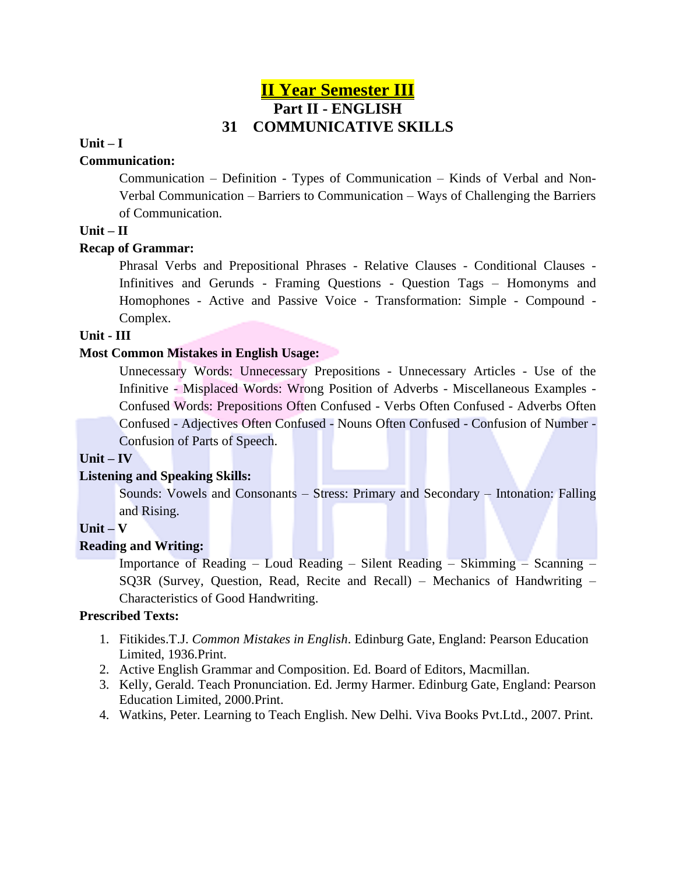### **II Year Semester III Part II - ENGLISH 31 COMMUNICATIVE SKILLS**

#### **Unit – I**

#### **Communication:**

Communication – Definition - Types of Communication – Kinds of Verbal and Non-Verbal Communication – Barriers to Communication – Ways of Challenging the Barriers of Communication.

#### **Unit – II**

#### **Recap of Grammar:**

Phrasal Verbs and Prepositional Phrases - Relative Clauses - Conditional Clauses - Infinitives and Gerunds - Framing Questions - Question Tags – Homonyms and Homophones - Active and Passive Voice - Transformation: Simple - Compound - Complex.

#### **Unit - III**

#### **Most Common Mistakes in English Usage:**

Unnecessary Words: Unnecessary Prepositions - Unnecessary Articles - Use of the Infinitive - Misplaced Words: Wrong Position of Adverbs - Miscellaneous Examples - Confused Words: Prepositions Often Confused - Verbs Often Confused - Adverbs Often Confused - Adjectives Often Confused - Nouns Often Confused - Confusion of Number - Confusion of Parts of Speech.

#### **Unit – IV**

#### **Listening and Speaking Skills:**

Sounds: Vowels and Consonants – Stress: Primary and Secondary – Intonation: Falling and Rising.

#### **Unit – V**

#### **Reading and Writing:**

Importance of Reading – Loud Reading – Silent Reading – Skimming – Scanning – SQ3R (Survey, Question, Read, Recite and Recall) – Mechanics of Handwriting – Characteristics of Good Handwriting.

#### **Prescribed Texts:**

- 1. Fitikides.T.J. *Common Mistakes in English*. Edinburg Gate, England: Pearson Education Limited, 1936.Print.
- 2. Active English Grammar and Composition. Ed. Board of Editors, Macmillan.
- 3. Kelly, Gerald. Teach Pronunciation. Ed. Jermy Harmer. Edinburg Gate, England: Pearson Education Limited, 2000.Print.
- 4. Watkins, Peter. Learning to Teach English. New Delhi. Viva Books Pvt.Ltd., 2007. Print.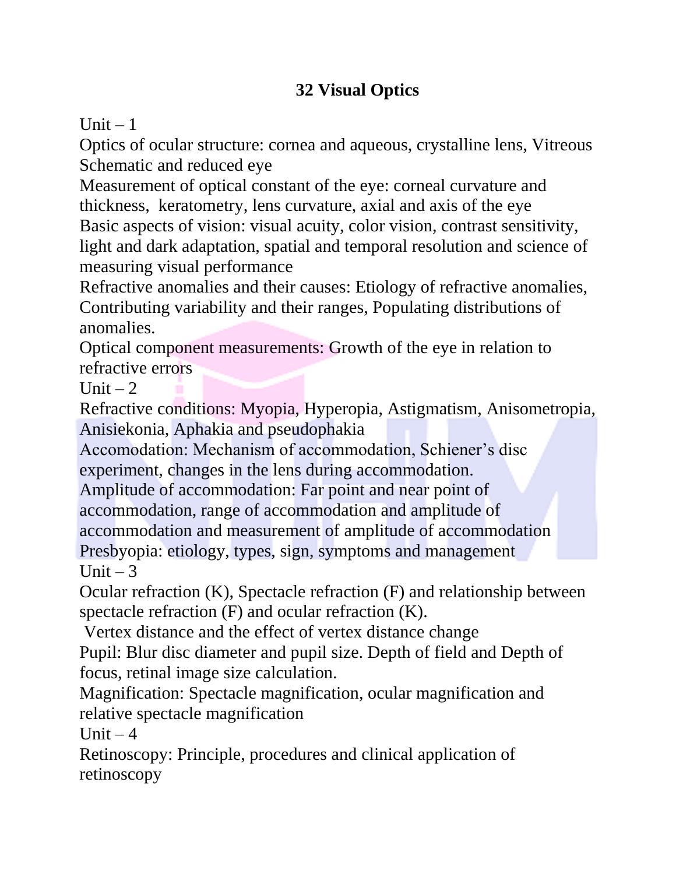# **32 Visual Optics**

Unit  $-1$ 

Optics of ocular structure: cornea and aqueous, crystalline lens, Vitreous Schematic and reduced eye

Measurement of optical constant of the eye: corneal curvature and thickness, keratometry, lens curvature, axial and axis of the eye Basic aspects of vision: visual acuity, color vision, contrast sensitivity, light and dark adaptation, spatial and temporal resolution and science of measuring visual performance

Refractive anomalies and their causes: Etiology of refractive anomalies, Contributing variability and their ranges, Populating distributions of anomalies.

Optical component measurements: Growth of the eye in relation to refractive errors

Unit  $-2$ 

Refractive conditions: Myopia, Hyperopia, Astigmatism, Anisometropia, Anisiekonia, Aphakia and pseudophakia

Accomodation: Mechanism of accommodation, Schiener's disc experiment, changes in the lens during accommodation.

Amplitude of accommodation: Far point and near point of accommodation, range of accommodation and amplitude of accommodation and measurement of amplitude of accommodation Presbyopia: etiology, types, sign, symptoms and management Unit  $-3$ 

Ocular refraction (K), Spectacle refraction (F) and relationship between spectacle refraction (F) and ocular refraction (K).

Vertex distance and the effect of vertex distance change Pupil: Blur disc diameter and pupil size. Depth of field and Depth of focus, retinal image size calculation.

Magnification: Spectacle magnification, ocular magnification and relative spectacle magnification

Unit  $-4$ 

Retinoscopy: Principle, procedures and clinical application of retinoscopy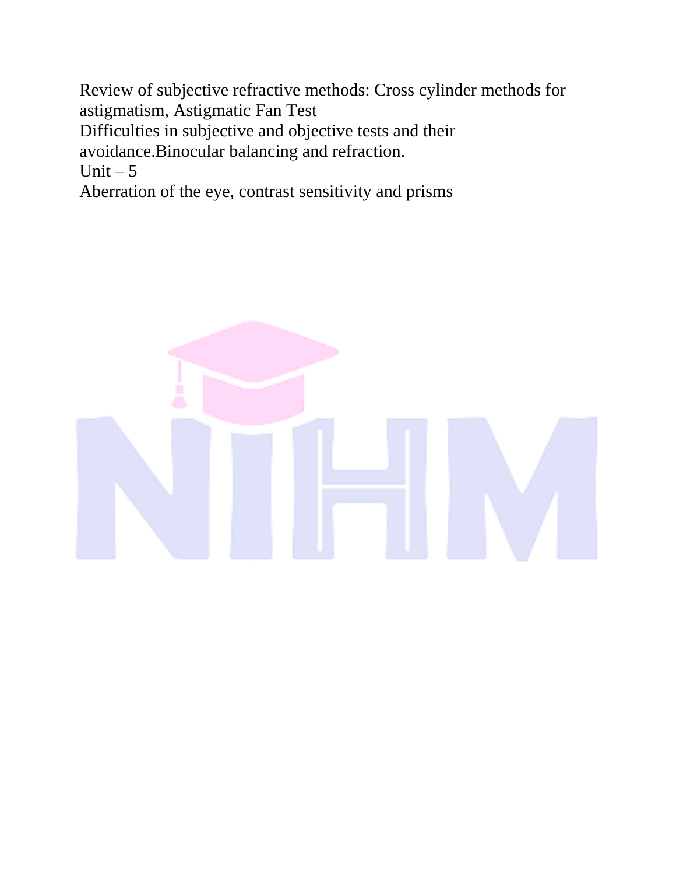Review of subjective refractive methods: Cross cylinder methods for astigmatism, Astigmatic Fan Test Difficulties in subjective and objective tests and their avoidance.Binocular balancing and refraction. Unit  $-5$ Aberration of the eye, contrast sensitivity and prisms

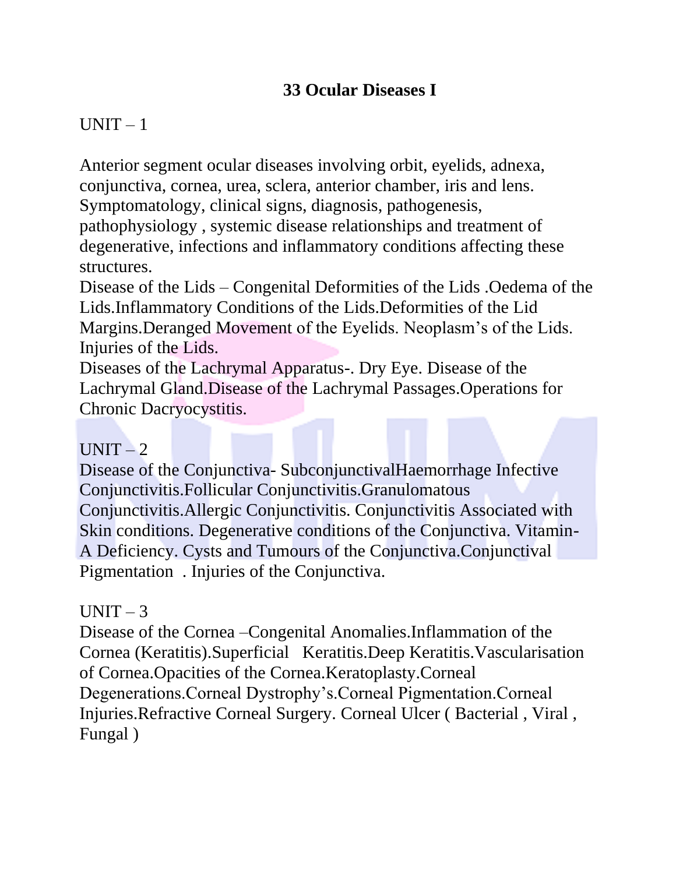# **33 Ocular Diseases I**

# $UNIT - 1$

Anterior segment ocular diseases involving orbit, eyelids, adnexa, conjunctiva, cornea, urea, sclera, anterior chamber, iris and lens. Symptomatology, clinical signs, diagnosis, pathogenesis, pathophysiology , systemic disease relationships and treatment of degenerative, infections and inflammatory conditions affecting these structures.

Disease of the Lids – Congenital Deformities of the Lids .Oedema of the Lids.Inflammatory Conditions of the Lids.Deformities of the Lid Margins.Deranged Movement of the Eyelids. Neoplasm's of the Lids. Injuries of the Lids.

Diseases of the Lachrymal Apparatus-. Dry Eye. Disease of the Lachrymal Gland.Disease of the Lachrymal Passages.Operations for Chronic Dacryocystitis.

# $UNIT-2$

Disease of the Conjunctiva- SubconjunctivalHaemorrhage Infective Conjunctivitis.Follicular Conjunctivitis.Granulomatous Conjunctivitis.Allergic Conjunctivitis. Conjunctivitis Associated with Skin conditions. Degenerative conditions of the Conjunctiva. Vitamin-A Deficiency. Cysts and Tumours of the Conjunctiva.Conjunctival Pigmentation . Injuries of the Conjunctiva.

# $UNIT-3$

Disease of the Cornea –Congenital Anomalies.Inflammation of the Cornea (Keratitis).Superficial Keratitis.Deep Keratitis.Vascularisation of Cornea.Opacities of the Cornea.Keratoplasty.Corneal Degenerations.Corneal Dystrophy's.Corneal Pigmentation.Corneal Injuries.Refractive Corneal Surgery. Corneal Ulcer ( Bacterial , Viral , Fungal )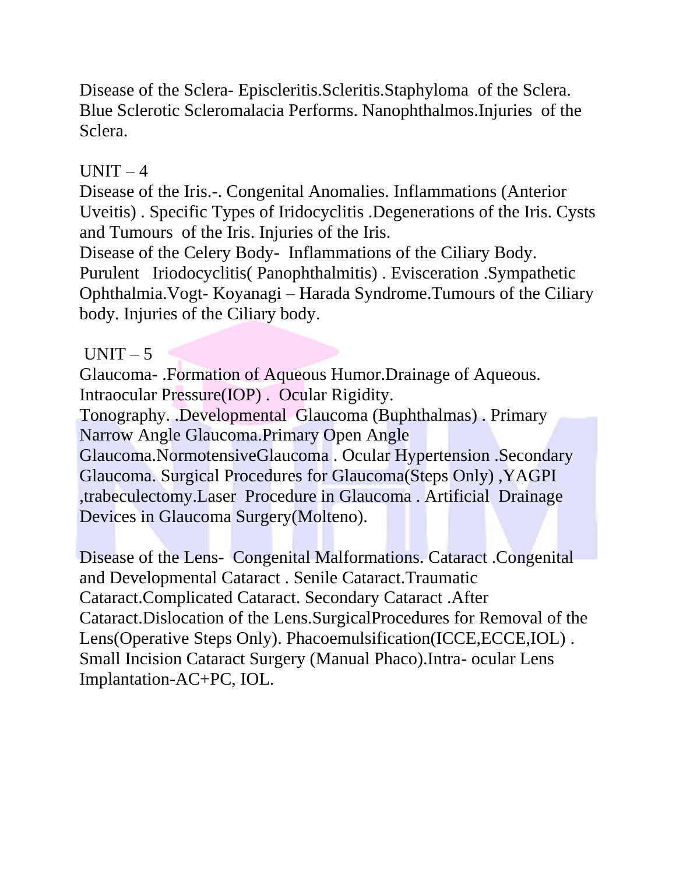Disease of the Sclera- Episcleritis.Scleritis.Staphyloma of the Sclera. Blue Sclerotic Scleromalacia Performs. Nanophthalmos.Injuries of the Sclera.

# $UNIT-4$

Disease of the Iris.-. Congenital Anomalies. Inflammations (Anterior Uveitis) . Specific Types of Iridocyclitis .Degenerations of the Iris. Cysts and Tumours of the Iris. Injuries of the Iris. Disease of the Celery Body- Inflammations of the Ciliary Body.

Purulent Iriodocyclitis( Panophthalmitis) . Evisceration .Sympathetic Ophthalmia.Vogt- Koyanagi – Harada Syndrome.Tumours of the Ciliary body. Injuries of the Ciliary body.

## $UNIT - 5$

Glaucoma- .Formation of Aqueous Humor.Drainage of Aqueous. Intraocular Pressure(IOP) . Ocular Rigidity.

Tonography. .Developmental Glaucoma (Buphthalmas) . Primary Narrow Angle Glaucoma.Primary Open Angle

Glaucoma.NormotensiveGlaucoma . Ocular Hypertension .Secondary Glaucoma. Surgical Procedures for Glaucoma(Steps Only) ,YAGPI ,trabeculectomy.Laser Procedure in Glaucoma . Artificial Drainage Devices in Glaucoma Surgery(Molteno).

Disease of the Lens- Congenital Malformations. Cataract .Congenital and Developmental Cataract . Senile Cataract.Traumatic Cataract.Complicated Cataract. Secondary Cataract .After Cataract.Dislocation of the Lens.SurgicalProcedures for Removal of the Lens(Operative Steps Only). Phacoemulsification(ICCE,ECCE,IOL) . Small Incision Cataract Surgery (Manual Phaco).Intra- ocular Lens Implantation-AC+PC, IOL.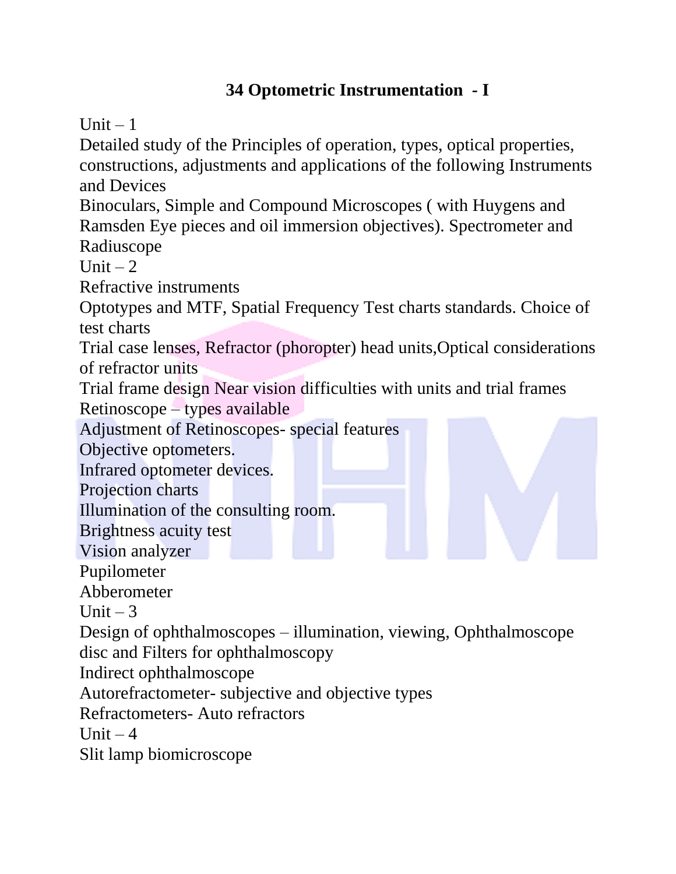# **34 Optometric Instrumentation - I**

Unit  $-1$ 

Detailed study of the Principles of operation, types, optical properties, constructions, adjustments and applications of the following Instruments and Devices

Binoculars, Simple and Compound Microscopes ( with Huygens and Ramsden Eye pieces and oil immersion objectives). Spectrometer and Radiuscope

Unit  $-2$ 

Refractive instruments

Optotypes and MTF, Spatial Frequency Test charts standards. Choice of test charts

Trial case lenses, Refractor (phoropter) head units,Optical considerations of refractor units

Trial frame design Near vision difficulties with units and trial frames Retinoscope – types available

Adjustment of Retinoscopes- special features

Objective optometers.

Infrared optometer devices.

Projection charts

Illumination of the consulting room.

Brightness acuity test

Vision analyzer

Pupilometer

Abberometer

Unit  $-3$ 

Design of ophthalmoscopes – illumination, viewing, Ophthalmoscope disc and Filters for ophthalmoscopy

Indirect ophthalmoscope

Autorefractometer- subjective and objective types

Refractometers- Auto refractors

Unit  $-4$ 

Slit lamp biomicroscope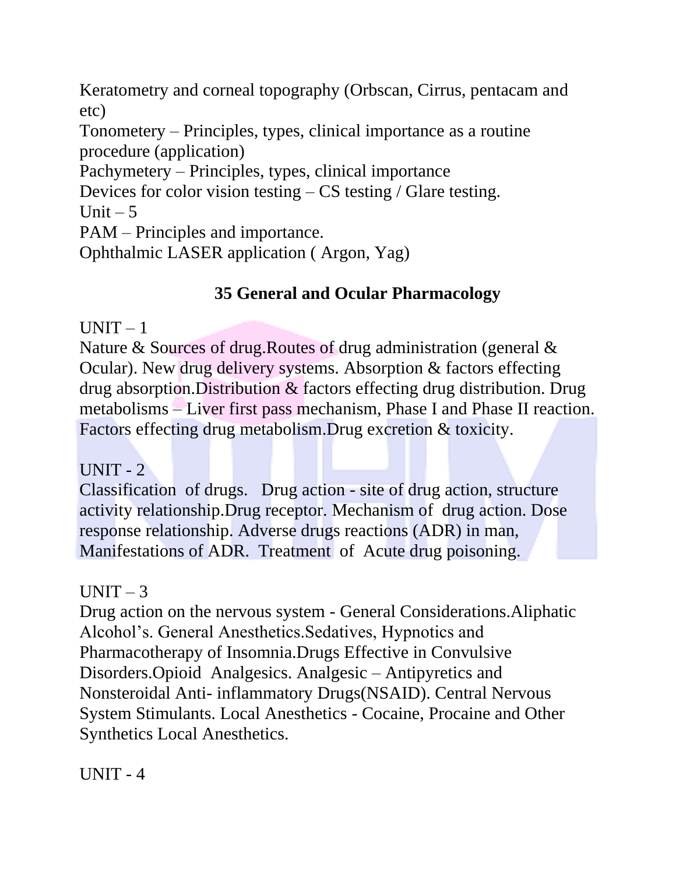Keratometry and corneal topography (Orbscan, Cirrus, pentacam and etc)

Tonometery – Principles, types, clinical importance as a routine procedure (application)

Pachymetery – Principles, types, clinical importance

Devices for color vision testing – CS testing / Glare testing.

Unit  $-5$ 

PAM – Principles and importance.

Ophthalmic LASER application ( Argon, Yag)

# **35 General and Ocular Pharmacology**

# $UNIT - 1$

Nature & Sources of drug.Routes of drug administration (general & Ocular). New drug delivery systems. Absorption & factors effecting drug absorption.Distribution & factors effecting drug distribution. Drug metabolisms – Liver first pass mechanism, Phase I and Phase II reaction. Factors effecting drug metabolism.Drug excretion & toxicity.

# $UNIT - 2$

Classification of drugs. Drug action - site of drug action, structure activity relationship.Drug receptor. Mechanism of drug action. Dose response relationship. Adverse drugs reactions (ADR) in man, Manifestations of ADR. Treatment of Acute drug poisoning.

# $UNIT-3$

Drug action on the nervous system - General Considerations.Aliphatic Alcohol's. General Anesthetics.Sedatives, Hypnotics and Pharmacotherapy of Insomnia.Drugs Effective in Convulsive Disorders.Opioid Analgesics. Analgesic – Antipyretics and Nonsteroidal Anti- inflammatory Drugs(NSAID). Central Nervous System Stimulants. Local Anesthetics - Cocaine, Procaine and Other Synthetics Local Anesthetics.

 $UNIT - 4$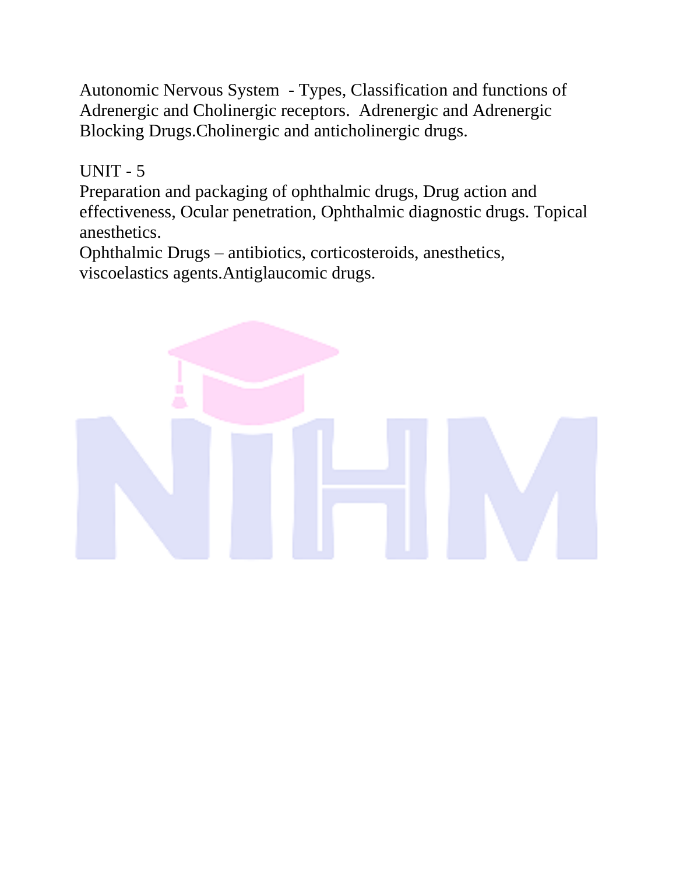Autonomic Nervous System - Types, Classification and functions of Adrenergic and Cholinergic receptors. Adrenergic and Adrenergic Blocking Drugs.Cholinergic and anticholinergic drugs.

 $UNIT - 5$ 

Preparation and packaging of ophthalmic drugs, Drug action and effectiveness, Ocular penetration, Ophthalmic diagnostic drugs. Topical anesthetics.

Ophthalmic Drugs – antibiotics, corticosteroids, anesthetics, viscoelastics agents.Antiglaucomic drugs.

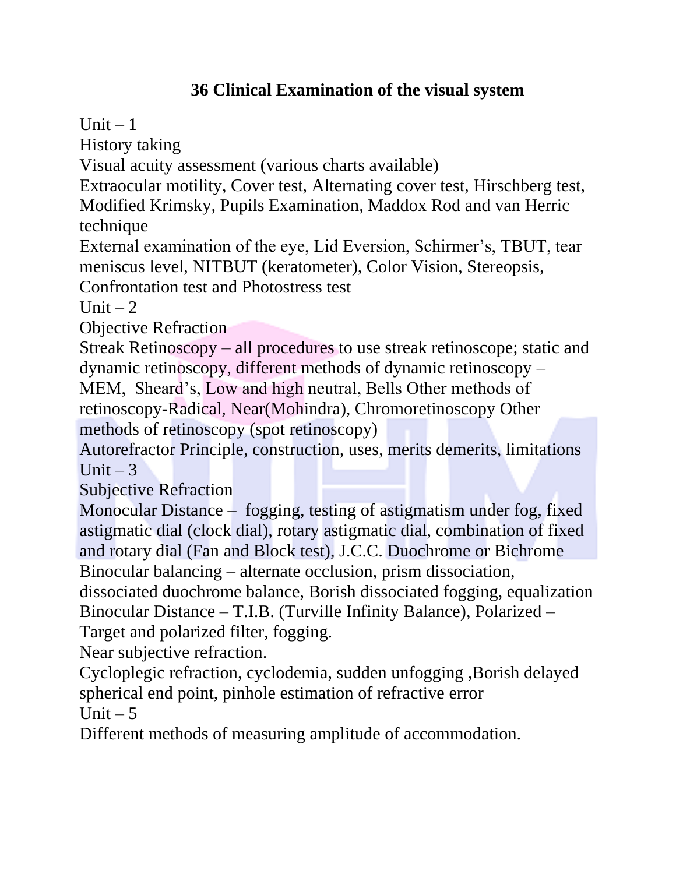# **36 Clinical Examination of the visual system**

Unit  $-1$ 

History taking

Visual acuity assessment (various charts available)

Extraocular motility, Cover test, Alternating cover test, Hirschberg test, Modified Krimsky, Pupils Examination, Maddox Rod and van Herric

technique

External examination of the eye, Lid Eversion, Schirmer's, TBUT, tear meniscus level, NITBUT (keratometer), Color Vision, Stereopsis,

Confrontation test and Photostress test

Unit  $-2$ 

Objective Refraction

Streak Retinoscopy – all procedures to use streak retinoscope; static and dynamic retinoscopy, different methods of dynamic retinoscopy –

MEM, Sheard's, Low and high neutral, Bells Other methods of

retinoscopy-Radical, Near(Mohindra), Chromoretinoscopy Other methods of retinoscopy (spot retinoscopy)

Autorefractor Principle, construction, uses, merits demerits, limitations Unit  $-3$ 

Subjective Refraction

Monocular Distance – fogging, testing of astigmatism under fog, fixed astigmatic dial (clock dial), rotary astigmatic dial, combination of fixed and rotary dial (Fan and Block test), J.C.C. Duochrome or Bichrome Binocular balancing – alternate occlusion, prism dissociation,

dissociated duochrome balance, Borish dissociated fogging, equalization Binocular Distance – T.I.B. (Turville Infinity Balance), Polarized – Target and polarized filter, fogging.

Near subjective refraction.

Cycloplegic refraction, cyclodemia, sudden unfogging ,Borish delayed spherical end point, pinhole estimation of refractive error Unit  $-5$ 

Different methods of measuring amplitude of accommodation.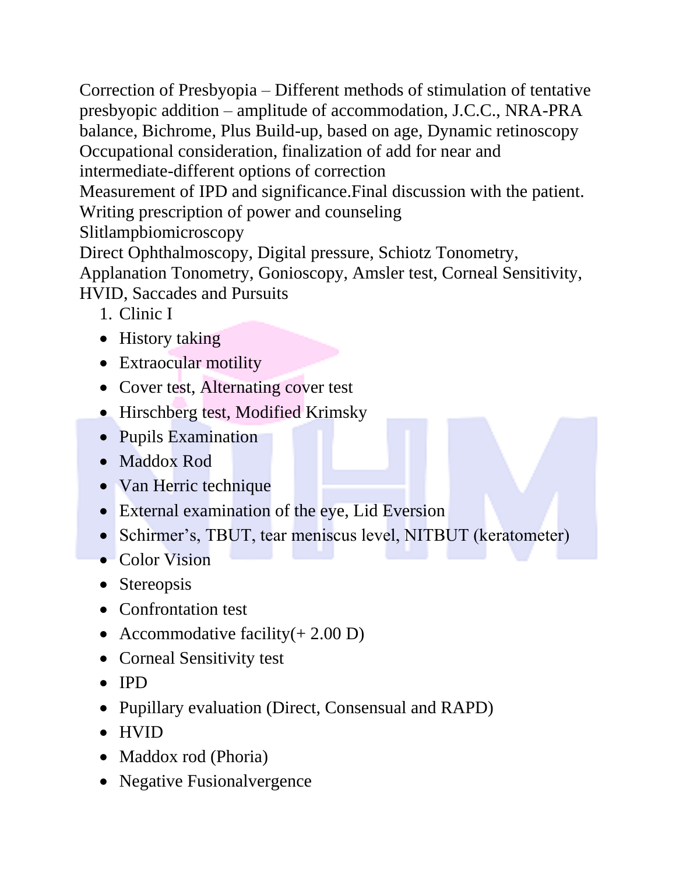Correction of Presbyopia – Different methods of stimulation of tentative presbyopic addition – amplitude of accommodation, J.C.C., NRA-PRA balance, Bichrome, Plus Build-up, based on age, Dynamic retinoscopy Occupational consideration, finalization of add for near and intermediate-different options of correction Measurement of IPD and significance.Final discussion with the patient. Writing prescription of power and counseling Slitlampbiomicroscopy Direct Ophthalmoscopy, Digital pressure, Schiotz Tonometry, Applanation Tonometry, Gonioscopy, Amsler test, Corneal Sensitivity, HVID, Saccades and Pursuits

- 1. Clinic I
- History taking
- Extraocular motility
- Cover test, Alternating cover test
- Hirschberg test, Modified Krimsky
- Pupils Examination
- Maddox Rod
- Van Herric technique
- External examination of the eye, Lid Eversion
- Schirmer's, TBUT, tear meniscus level, NITBUT (keratometer)
- Color Vision
- Stereopsis
- Confrontation test
- Accommodative facility $(+ 2.00 \text{ D})$
- Corneal Sensitivity test
- IPD
- Pupillary evaluation (Direct, Consensual and RAPD)
- HVID
- Maddox rod (Phoria)
- Negative Fusionalvergence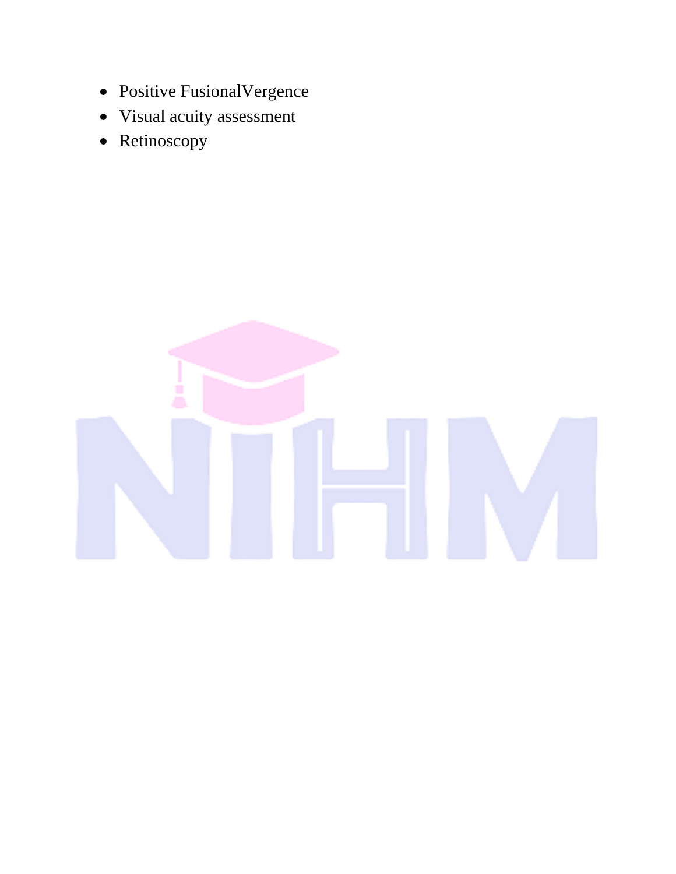- Positive FusionalVergence
- Visual acuity assessment
- Retinoscopy

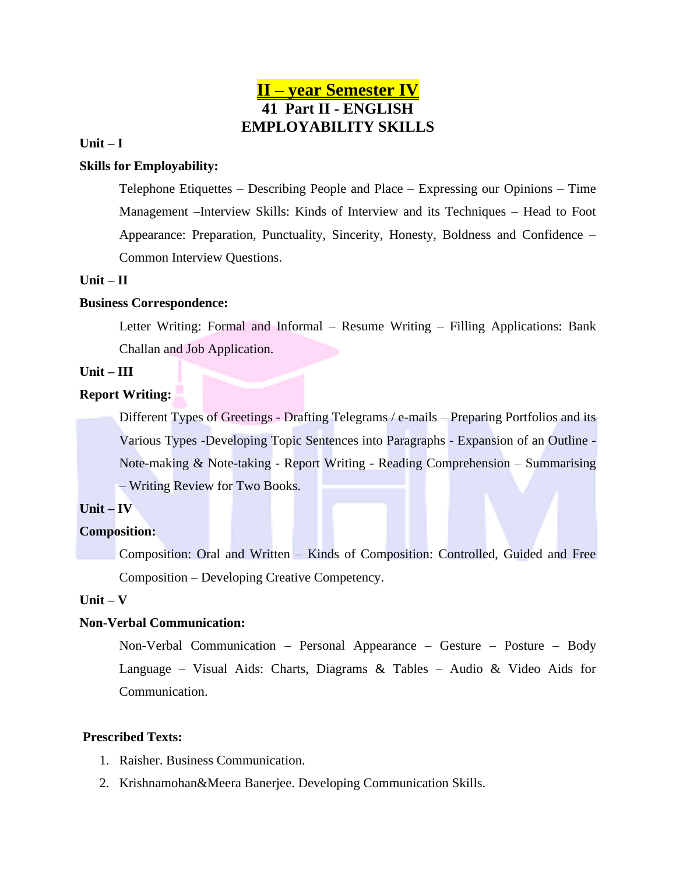### **II – year Semester IV 41 Part II - ENGLISH EMPLOYABILITY SKILLS**

#### **Unit – I**

#### **Skills for Employability:**

Telephone Etiquettes – Describing People and Place – Expressing our Opinions – Time Management –Interview Skills: Kinds of Interview and its Techniques – Head to Foot Appearance: Preparation, Punctuality, Sincerity, Honesty, Boldness and Confidence – Common Interview Questions.

#### **Unit – II**

#### **Business Correspondence:**

Letter Writing: Formal and Informal – Resume Writing – Filling Applications: Bank Challan and Job Application.

### **Unit – III**

#### **Report Writing:**

Different Types of Greetings - Drafting Telegrams / e-mails – Preparing Portfolios and its Various Types -Developing Topic Sentences into Paragraphs - Expansion of an Outline - Note-making & Note-taking - Report Writing - Reading Comprehension – Summarising – Writing Review for Two Books.

#### **Unit – IV**

#### **Composition:**

Composition: Oral and Written – Kinds of Composition: Controlled, Guided and Free Composition – Developing Creative Competency.

#### **Unit – V**

#### **Non-Verbal Communication:**

Non-Verbal Communication – Personal Appearance – Gesture – Posture – Body Language – Visual Aids: Charts, Diagrams & Tables – Audio & Video Aids for Communication.

#### **Prescribed Texts:**

- 1. Raisher. Business Communication.
- 2. Krishnamohan&Meera Banerjee. Developing Communication Skills.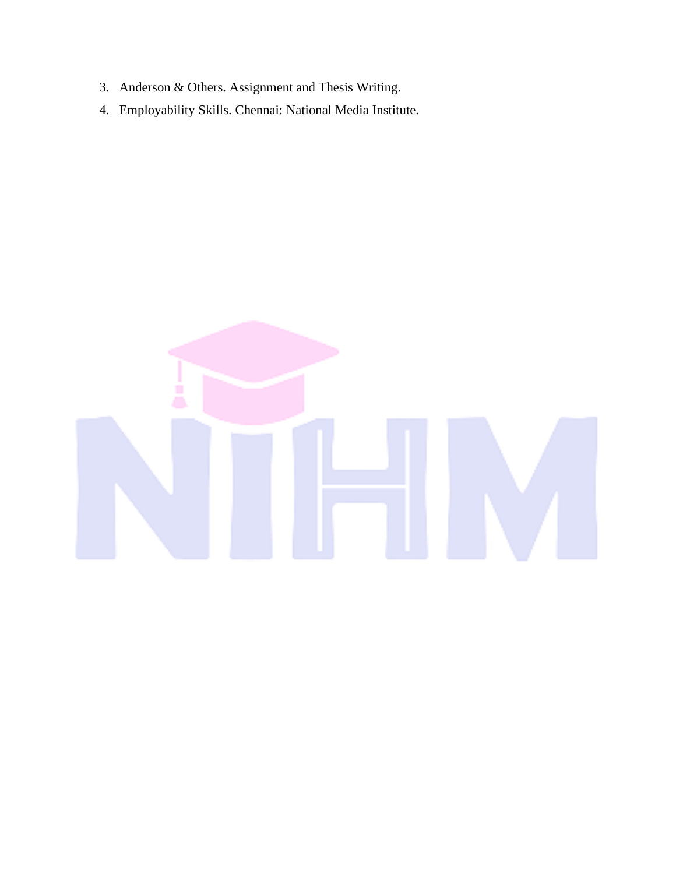- 3. Anderson & Others. Assignment and Thesis Writing.
- 4. Employability Skills. Chennai: National Media Institute.

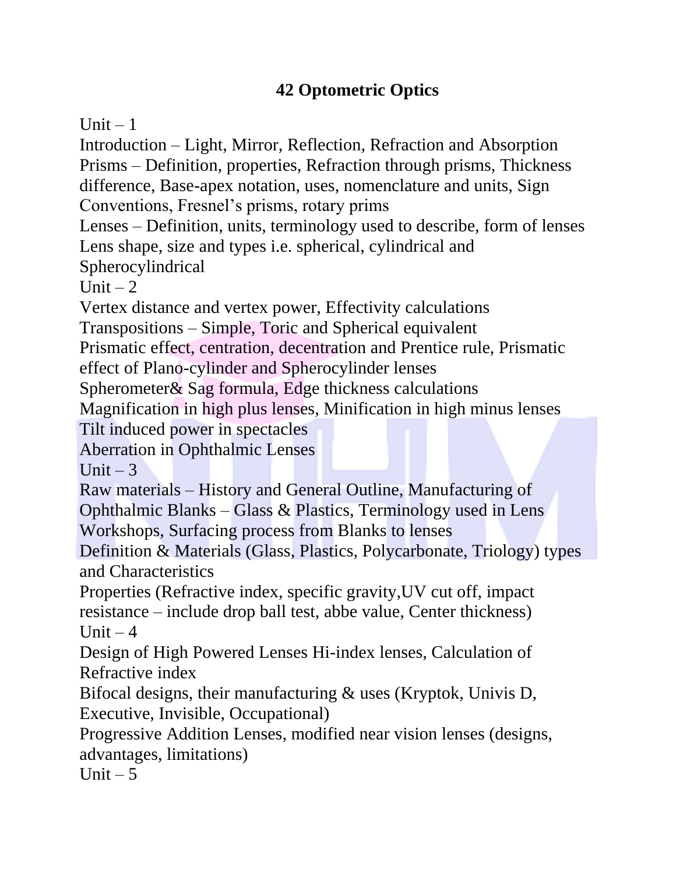## **42 Optometric Optics**

Unit  $-1$ 

Introduction – Light, Mirror, Reflection, Refraction and Absorption Prisms – Definition, properties, Refraction through prisms, Thickness difference, Base-apex notation, uses, nomenclature and units, Sign

Conventions, Fresnel's prisms, rotary prims

Lenses – Definition, units, terminology used to describe, form of lenses Lens shape, size and types i.e. spherical, cylindrical and Spherocylindrical

Unit  $-2$ 

Vertex distance and vertex power, Effectivity calculations

Transpositions – Simple, Toric and Spherical equivalent

Prismatic effect, centration, decentration and Prentice rule, Prismatic

effect of Plano-cylinder and Spherocylinder lenses

Spherometer& Sag formula, Edge thickness calculations

Magnification in high plus lenses, Minification in high minus lenses Tilt induced power in spectacles

Aberration in Ophthalmic Lenses

Unit  $-3$ 

Raw materials – History and General Outline, Manufacturing of

Ophthalmic Blanks – Glass & Plastics, Terminology used in Lens Workshops, Surfacing process from Blanks to lenses

Definition & Materials (Glass, Plastics, Polycarbonate, Triology) types and Characteristics

Properties (Refractive index, specific gravity,UV cut off, impact resistance – include drop ball test, abbe value, Center thickness) Unit  $-4$ 

Design of High Powered Lenses Hi-index lenses, Calculation of Refractive index

Bifocal designs, their manufacturing & uses (Kryptok, Univis D, Executive, Invisible, Occupational)

Progressive Addition Lenses, modified near vision lenses (designs, advantages, limitations)

Unit  $-5$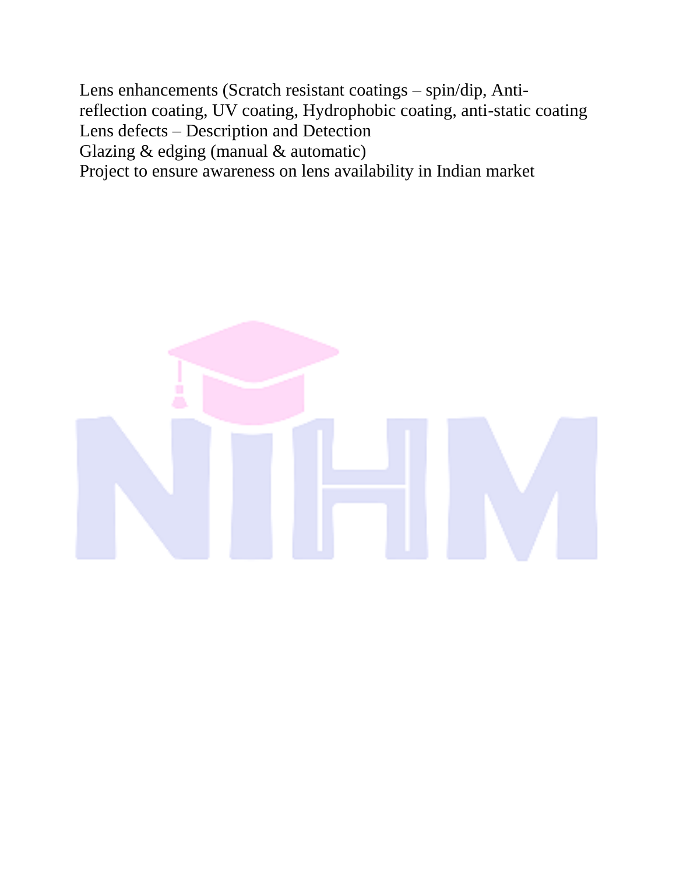Lens enhancements (Scratch resistant coatings – spin/dip, Antireflection coating, UV coating, Hydrophobic coating, anti-static coating Lens defects – Description and Detection Glazing  $&$  edging (manual  $&$  automatic) Project to ensure awareness on lens availability in Indian market

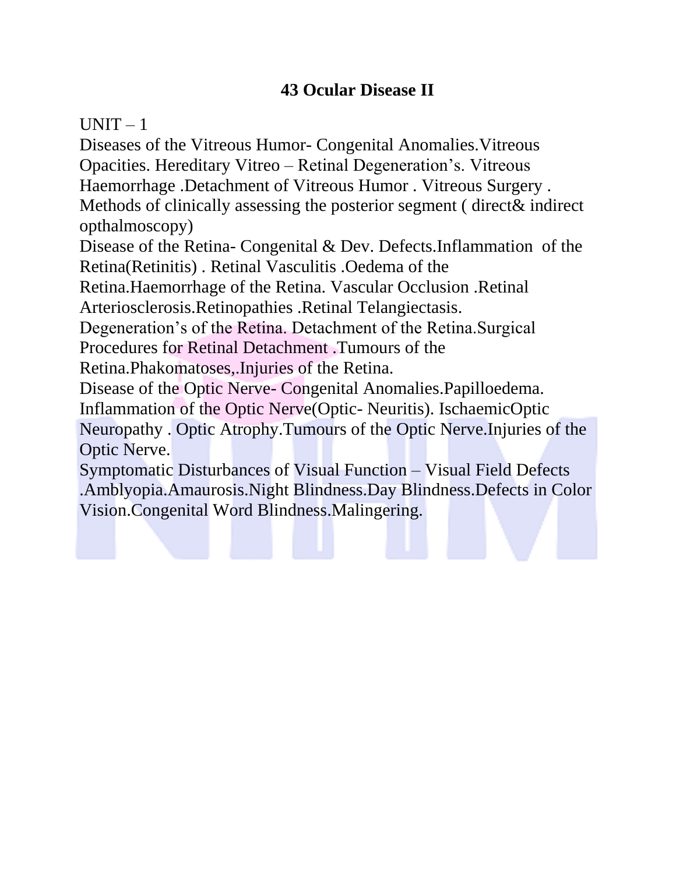### **43 Ocular Disease II**

 $UNIT - 1$ 

Diseases of the Vitreous Humor- Congenital Anomalies.Vitreous Opacities. Hereditary Vitreo – Retinal Degeneration's. Vitreous Haemorrhage .Detachment of Vitreous Humor . Vitreous Surgery . Methods of clinically assessing the posterior segment ( direct& indirect opthalmoscopy)

Disease of the Retina- Congenital & Dev. Defects.Inflammation of the Retina(Retinitis) . Retinal Vasculitis .Oedema of the

Retina.Haemorrhage of the Retina. Vascular Occlusion .Retinal Arteriosclerosis.Retinopathies .Retinal Telangiectasis.

Degeneration's of the Retina. Detachment of the Retina.Surgical

Procedures for Retinal Detachment .Tumours of the

Retina.Phakomatoses,.Injuries of the Retina.

Disease of the Optic Nerve- Congenital Anomalies.Papilloedema. Inflammation of the Optic Nerve(Optic- Neuritis). IschaemicOptic

Neuropathy . Optic Atrophy.Tumours of the Optic Nerve.Injuries of the Optic Nerve.

Symptomatic Disturbances of Visual Function – Visual Field Defects .Amblyopia.Amaurosis.Night Blindness.Day Blindness.Defects in Color Vision.Congenital Word Blindness.Malingering.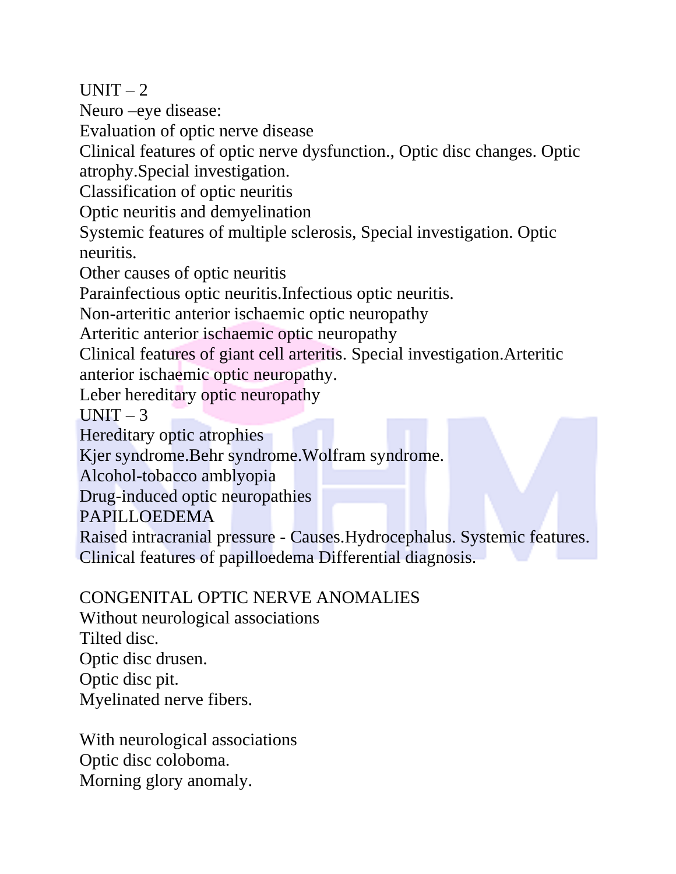$UNIT-2$ 

Neuro –eye disease:

Evaluation of optic nerve disease

Clinical features of optic nerve dysfunction., Optic disc changes. Optic atrophy.Special investigation.

Classification of optic neuritis

Optic neuritis and demyelination

Systemic features of multiple sclerosis, Special investigation. Optic neuritis.

Other causes of optic neuritis

Parainfectious optic neuritis.Infectious optic neuritis.

Non-arteritic anterior ischaemic optic neuropathy

Arteritic anterior ischaemic optic neuropathy

Clinical features of giant cell arteritis. Special investigation.Arteritic anterior ischaemic optic neuropathy.

Leber hereditary optic neuropathy

 $UNIT - 3$ 

Hereditary optic atrophies

Kjer syndrome.Behr syndrome.Wolfram syndrome.

Alcohol-tobacco amblyopia

Drug-induced optic neuropathies

PAPILLOEDEMA

Raised intracranial pressure - Causes.Hydrocephalus. Systemic features. Clinical features of papilloedema Differential diagnosis.

### CONGENITAL OPTIC NERVE ANOMALIES

Without neurological associations Tilted disc. Optic disc drusen. Optic disc pit. Myelinated nerve fibers.

With neurological associations Optic disc coloboma. Morning glory anomaly.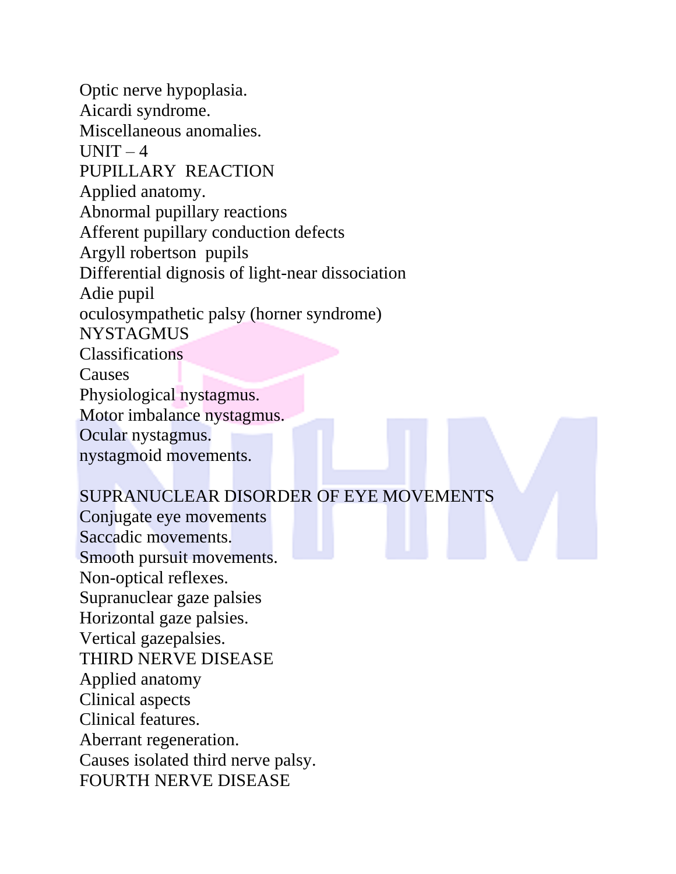Optic nerve hypoplasia. Aicardi syndrome. Miscellaneous anomalies.  $UNIT-4$ PUPILLARY REACTION Applied anatomy. Abnormal pupillary reactions Afferent pupillary conduction defects Argyll robertson pupils Differential dignosis of light-near dissociation Adie pupil oculosympathetic palsy (horner syndrome) **NYSTAGMUS** Classifications **Causes** Physiological nystagmus. Motor imbalance nystagmus. Ocular nystagmus. nystagmoid movements.

### SUPRANUCLEAR DISORDER OF EYE MOVEMENTS

Conjugate eye movements Saccadic movements. Smooth pursuit movements. Non-optical reflexes. Supranuclear gaze palsies Horizontal gaze palsies. Vertical gazepalsies. THIRD NERVE DISEASE Applied anatomy Clinical aspects Clinical features. Aberrant regeneration. Causes isolated third nerve palsy. FOURTH NERVE DISEASE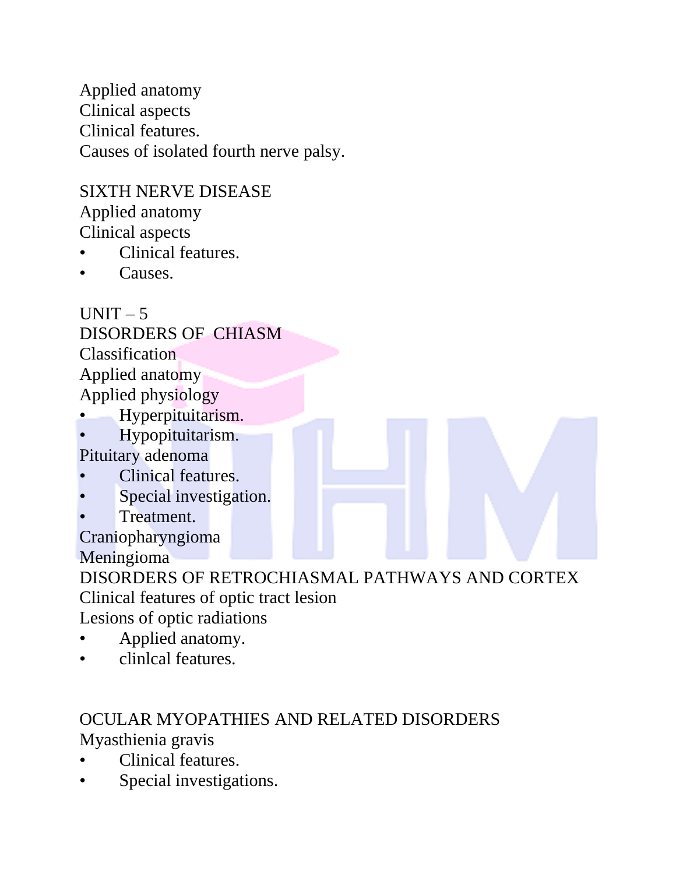Applied anatomy Clinical aspects Clinical features. Causes of isolated fourth nerve palsy.

### SIXTH NERVE DISEASE

Applied anatomy Clinical aspects

- Clinical features.
- Causes.

 $UNIT - 5$ DISORDERS OF CHIASM Classification Applied anatomy Applied physiology

- Hyperpituitarism.
- Hypopituitarism.

Pituitary adenoma

- Clinical features.
- Special investigation.
- Treatment.

Craniopharyngioma Meningioma

DISORDERS OF RETROCHIASMAL PATHWAYS AND CORTEX Clinical features of optic tract lesion

Lesions of optic radiations

- Applied anatomy.
- clinlcal features.

### OCULAR MYOPATHIES AND RELATED DISORDERS Myasthienia gravis

- Clinical features.
- Special investigations.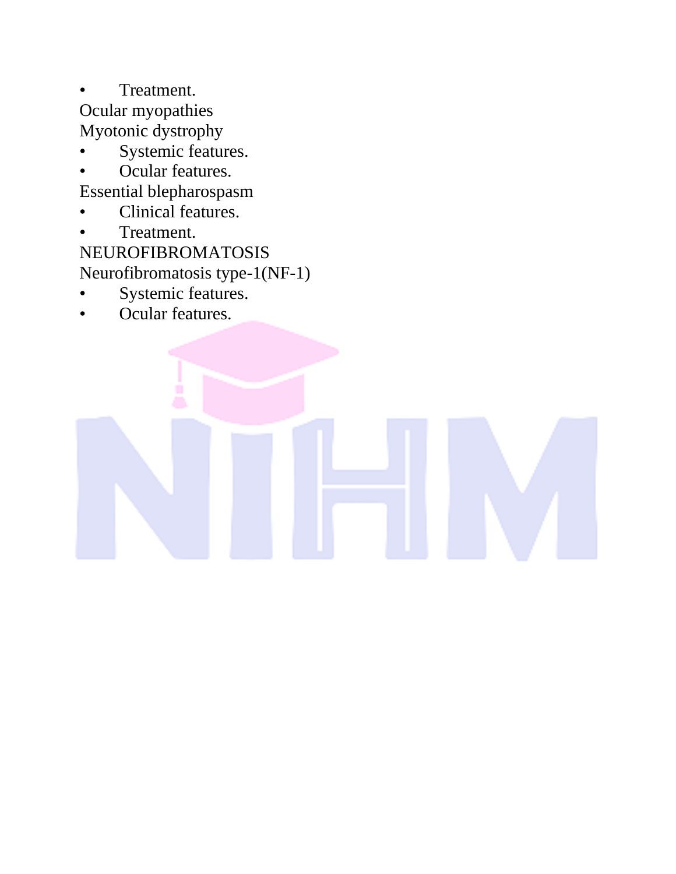• Treatment. Ocular myopathies Myotonic dystrophy

- Systemic features.
- Ocular features.

Essential blepharospasm

- Clinical features.
- Treatment.

NEUROFIBROMATOSIS Neurofibromatosis type-1(NF-1)

Systemic features.

Â

• Ocular features.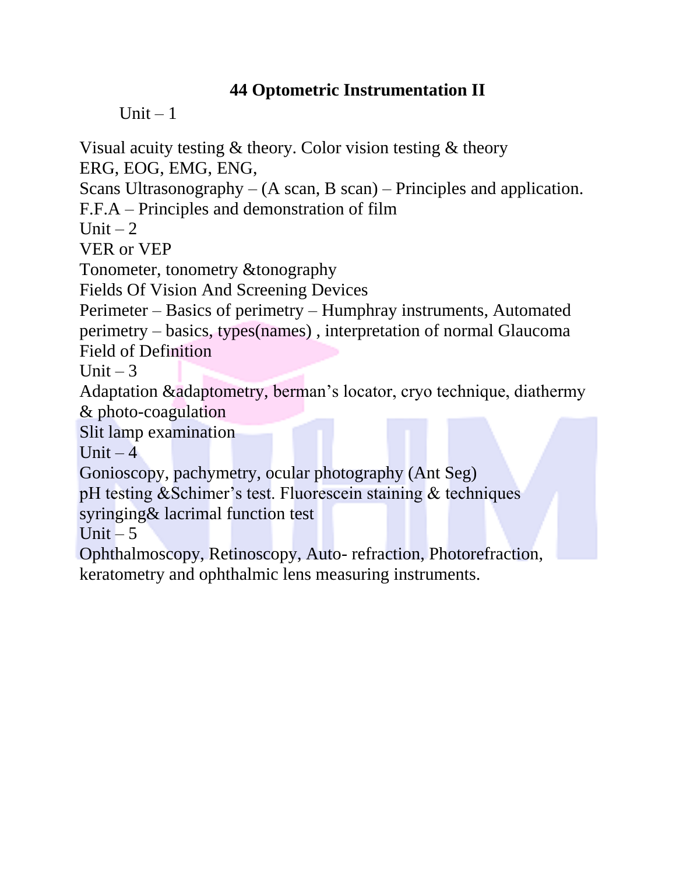### **44 Optometric Instrumentation II**

Unit  $-1$ 

Visual acuity testing & theory. Color vision testing & theory

ERG, EOG, EMG, ENG,

Scans Ultrasonography – (A scan, B scan) – Principles and application.

F.F.A – Principles and demonstration of film

Unit  $-2$ 

VER or VEP

Tonometer, tonometry &tonography

Fields Of Vision And Screening Devices

Perimeter – Basics of perimetry – Humphray instruments, Automated perimetry – basics, types(names) , interpretation of normal Glaucoma Field of Definition

Unit  $-3$ 

Adaptation &adaptometry, berman's locator, cryo technique, diathermy & photo-coagulation

Slit lamp examination

Unit  $-4$ 

Gonioscopy, pachymetry, ocular photography (Ant Seg)

pH testing &Schimer's test. Fluorescein staining & techniques

syringing& lacrimal function test

Unit  $-5$ 

Ophthalmoscopy, Retinoscopy, Auto- refraction, Photorefraction, keratometry and ophthalmic lens measuring instruments.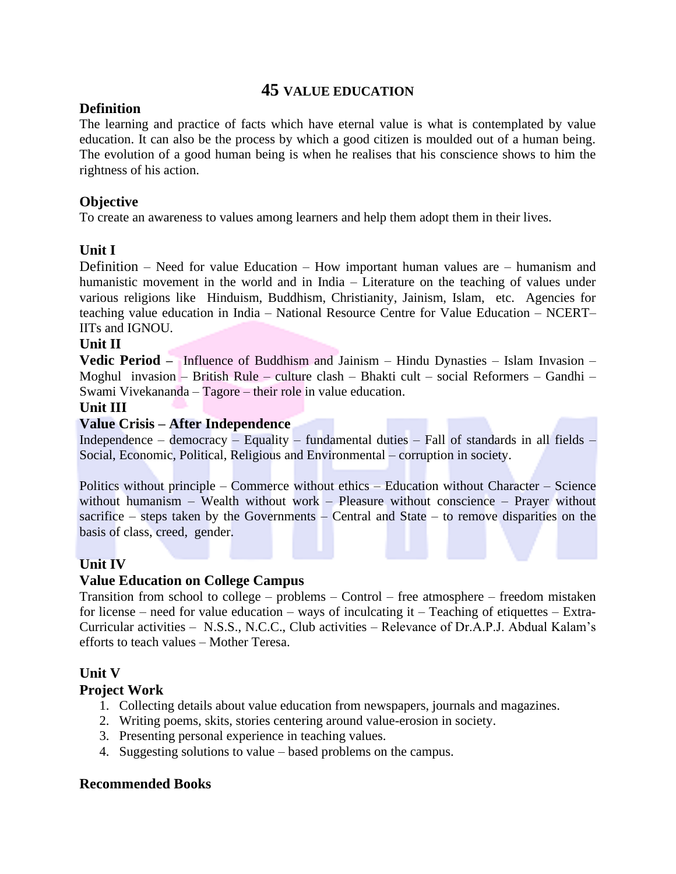### **45 VALUE EDUCATION**

### **Definition**

The learning and practice of facts which have eternal value is what is contemplated by value education. It can also be the process by which a good citizen is moulded out of a human being. The evolution of a good human being is when he realises that his conscience shows to him the rightness of his action.

### **Objective**

To create an awareness to values among learners and help them adopt them in their lives.

### **Unit I**

Definition – Need for value Education – How important human values are – humanism and humanistic movement in the world and in India – Literature on the teaching of values under various religions like Hinduism, Buddhism, Christianity, Jainism, Islam, etc. Agencies for teaching value education in India – National Resource Centre for Value Education – NCERT– IITs and IGNOU.

### **Unit II**

**Vedic Period –** Influence of Buddhism and Jainism – Hindu Dynasties – Islam Invasion – Moghul invasion – British Rule – culture clash – Bhakti cult – social Reformers – Gandhi – Swami Vivekananda – Tagore – their role in value education.

### **Unit III**

### **Value Crisis – After Independence**

Independence – democracy – Equality – fundamental duties – Fall of standards in all fields – Social, Economic, Political, Religious and Environmental – corruption in society.

Politics without principle – Commerce without ethics – Education without Character – Science without humanism – Wealth without work – Pleasure without conscience – Prayer without sacrifice – steps taken by the Governments – Central and State – to remove disparities on the basis of class, creed, gender.

### **Unit IV**

### **Value Education on College Campus**

Transition from school to college – problems – Control – free atmosphere – freedom mistaken for license – need for value education – ways of inculcating it – Teaching of etiquettes – Extra-Curricular activities – N.S.S., N.C.C., Club activities – Relevance of Dr.A.P.J. Abdual Kalam's efforts to teach values – Mother Teresa.

### **Unit V**

### **Project Work**

- 1. Collecting details about value education from newspapers, journals and magazines.
- 2. Writing poems, skits, stories centering around value-erosion in society.
- 3. Presenting personal experience in teaching values.
- 4. Suggesting solutions to value based problems on the campus.

### **Recommended Books**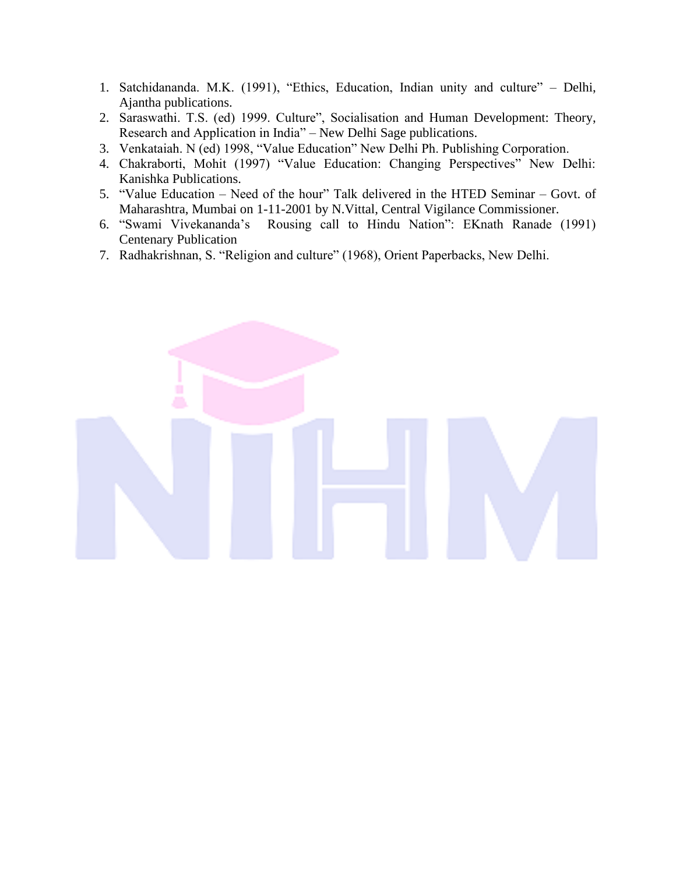- 1. Satchidananda. M.K. (1991), "Ethics, Education, Indian unity and culture" Delhi, Ajantha publications.
- 2. Saraswathi. T.S. (ed) 1999. Culture", Socialisation and Human Development: Theory, Research and Application in India" – New Delhi Sage publications.
- 3. Venkataiah. N (ed) 1998, "Value Education" New Delhi Ph. Publishing Corporation.
- 4. Chakraborti, Mohit (1997) "Value Education: Changing Perspectives" New Delhi: Kanishka Publications.
- 5. "Value Education Need of the hour" Talk delivered in the HTED Seminar Govt. of Maharashtra, Mumbai on 1-11-2001 by N.Vittal, Central Vigilance Commissioner.
- 6. "Swami Vivekananda's Rousing call to Hindu Nation": EKnath Ranade (1991) Centenary Publication
- 7. Radhakrishnan, S. "Religion and culture" (1968), Orient Paperbacks, New Delhi.

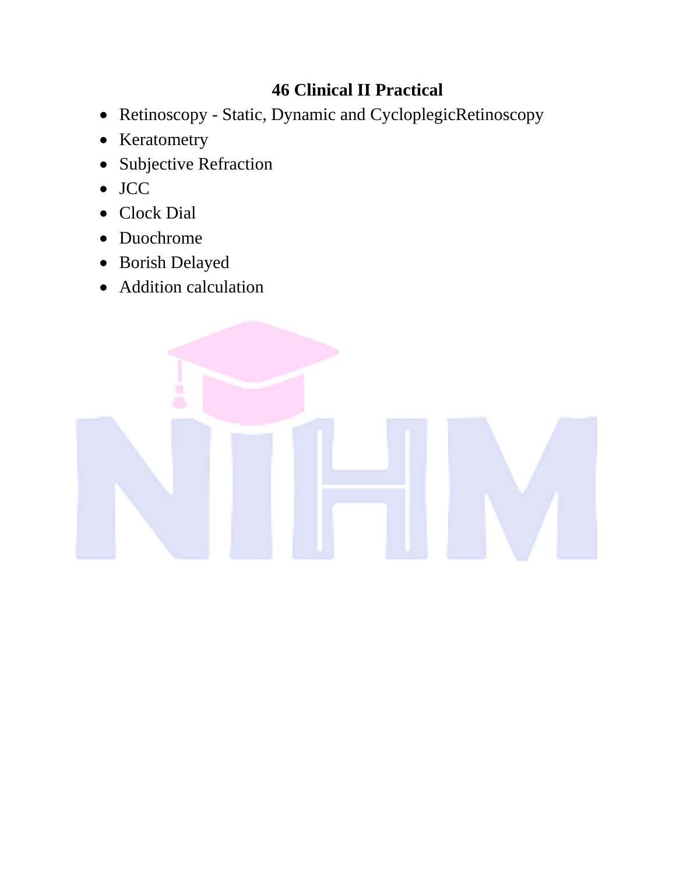## **46 Clinical II Practical**

- Retinoscopy Static, Dynamic and CycloplegicRetinoscopy
- Keratometry
- Subjective Refraction
- JCC
- Clock Dial
- Duochrome
- Borish Delayed
- Addition calculation

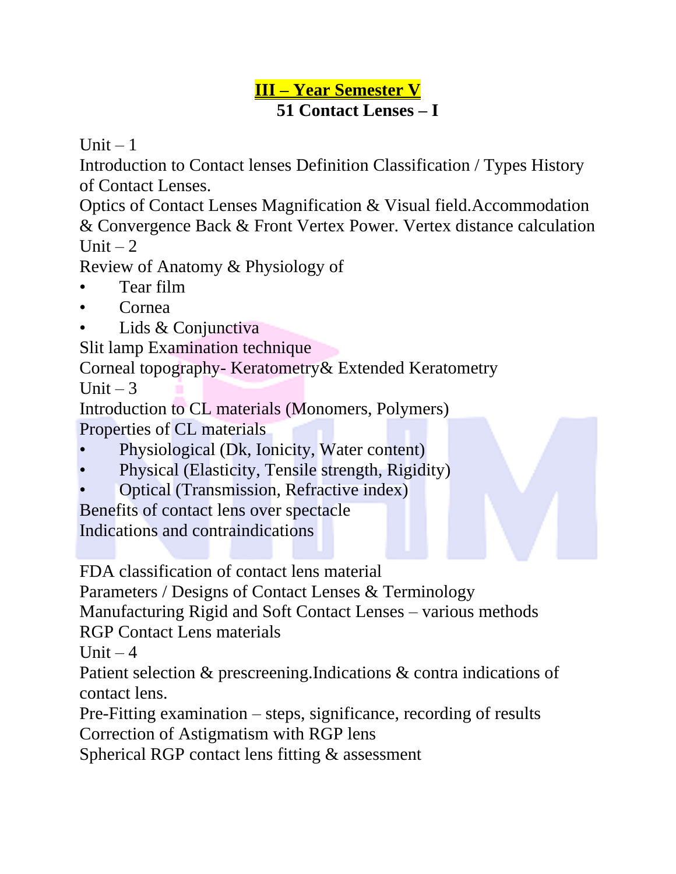## **III – Year Semester V 51 Contact Lenses – I**

Unit  $-1$ 

Introduction to Contact lenses Definition Classification / Types History of Contact Lenses.

Optics of Contact Lenses Magnification & Visual field.Accommodation & Convergence Back & Front Vertex Power. Vertex distance calculation Unit  $-2$ 

Review of Anatomy & Physiology of

- Tear film
- Cornea
- Lids & Conjunctiva

Slit lamp Examination technique

Corneal topography- Keratometry& Extended Keratometry

Unit  $-3$ 

Introduction to CL materials (Monomers, Polymers) Properties of CL materials

- Physiological (Dk, Ionicity, Water content)
- Physical (Elasticity, Tensile strength, Rigidity)
- Optical (Transmission, Refractive index)

Benefits of contact lens over spectacle

Indications and contraindications

FDA classification of contact lens material

Parameters / Designs of Contact Lenses & Terminology

Manufacturing Rigid and Soft Contact Lenses – various methods

RGP Contact Lens materials

Unit  $-4$ 

Patient selection & prescreening.Indications & contra indications of contact lens.

Pre-Fitting examination – steps, significance, recording of results Correction of Astigmatism with RGP lens

Spherical RGP contact lens fitting & assessment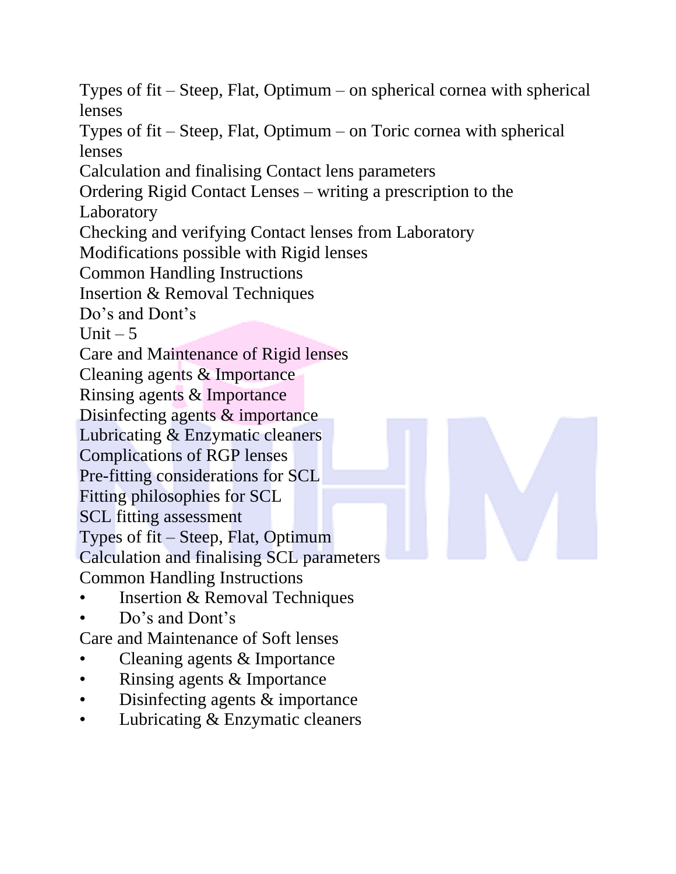Types of fit – Steep, Flat, Optimum – on spherical cornea with spherical lenses Types of fit – Steep, Flat, Optimum – on Toric cornea with spherical lenses Calculation and finalising Contact lens parameters Ordering Rigid Contact Lenses – writing a prescription to the Laboratory Checking and verifying Contact lenses from Laboratory Modifications possible with Rigid lenses Common Handling Instructions Insertion & Removal Techniques Do's and Dont's Unit  $-5$ Care and Maintenance of Rigid lenses Cleaning agents & Importance Rinsing agents & Importance Disinfecting agents & importance Lubricating & Enzymatic cleaners Complications of RGP lenses Pre-fitting considerations for SCL Fitting philosophies for SCL SCL fitting assessment Types of fit – Steep, Flat, Optimum Calculation and finalising SCL parameters Common Handling Instructions • Insertion & Removal Techniques Do's and Dont's Care and Maintenance of Soft lenses Cleaning agents & Importance • Rinsing agents & Importance

- Disinfecting agents & importance
- Lubricating & Enzymatic cleaners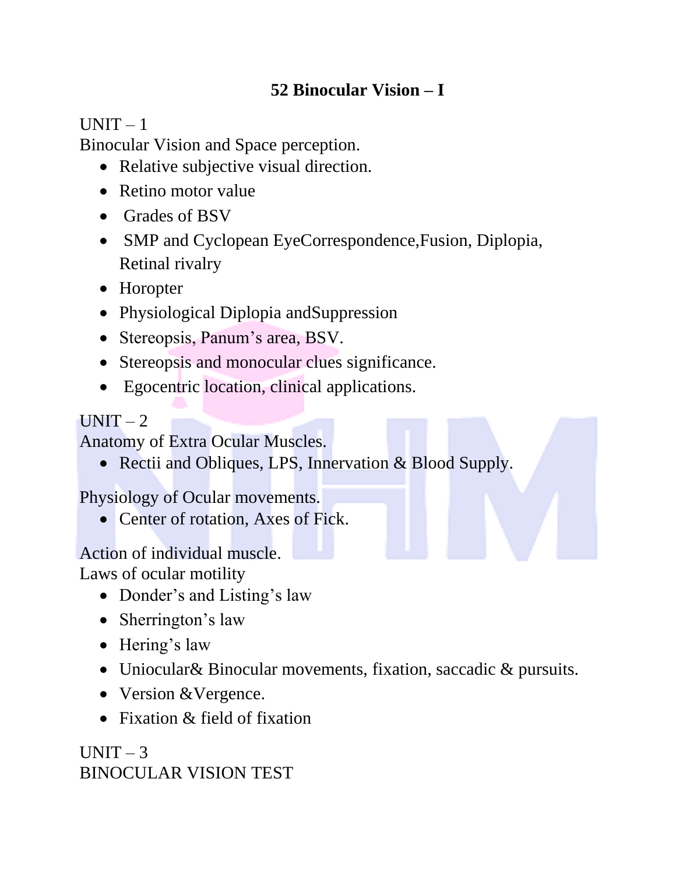## **52 Binocular Vision – I**

### $UNIT - 1$

Binocular Vision and Space perception.

- Relative subjective visual direction.
- Retino motor value
- Grades of BSV
- SMP and Cyclopean EyeCorrespondence, Fusion, Diplopia, Retinal rivalry
- Horopter
- Physiological Diplopia andSuppression
- Stereopsis, Panum's area, BSV.
- Stereopsis and monocular clues significance.
- Egocentric location, clinical applications.

### $UNIT-2$

Anatomy of Extra Ocular Muscles.

• Rectii and Obliques, LPS, Innervation & Blood Supply.

Physiology of Ocular movements.

• Center of rotation, Axes of Fick.

## Action of individual muscle.

Laws of ocular motility

- Donder's and Listing's law
- Sherrington's law
- Hering's law
- Uniocular& Binocular movements, fixation, saccadic & pursuits.
- Version & Vergence.
- Fixation & field of fixation

 $IINT - 3$ BINOCULAR VISION TEST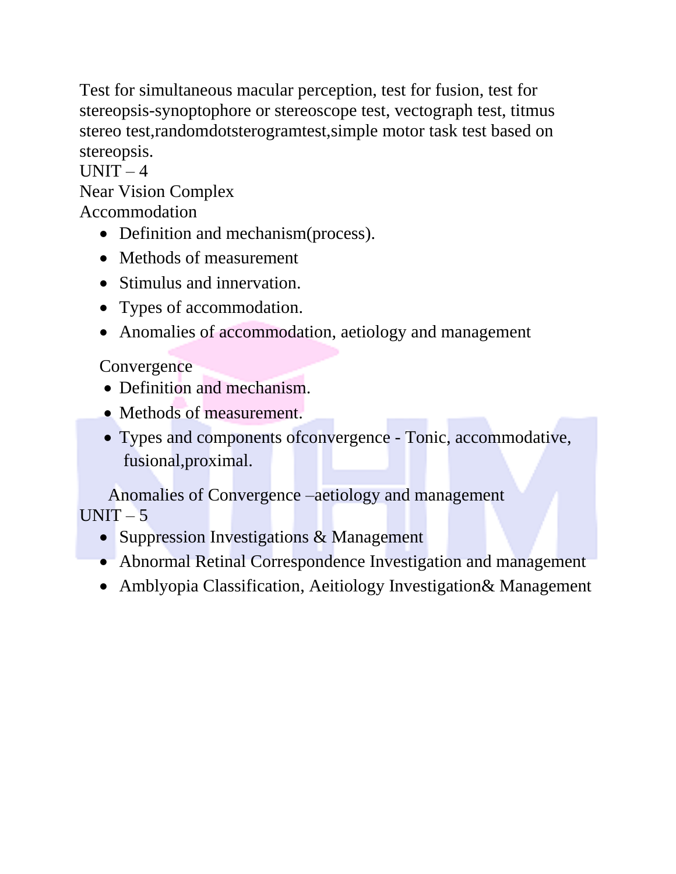Test for simultaneous macular perception, test for fusion, test for stereopsis-synoptophore or stereoscope test, vectograph test, titmus stereo test,randomdotsterogramtest,simple motor task test based on stereopsis.

 $UNIT-4$ Near Vision Complex

Accommodation

- Definition and mechanism(process).
- Methods of measurement
- Stimulus and innervation.
- Types of accommodation.
- Anomalies of accommodation, aetiology and management

### **Convergence**

- Definition and mechanism.
- Methods of measurement.
- Types and components ofconvergence Tonic, accommodative, fusional,proximal.

Anomalies of Convergence –aetiology and management  $UNIT - 5$ 

- Suppression Investigations & Management
- Abnormal Retinal Correspondence Investigation and management
- Amblyopia Classification, Aeitiology Investigation& Management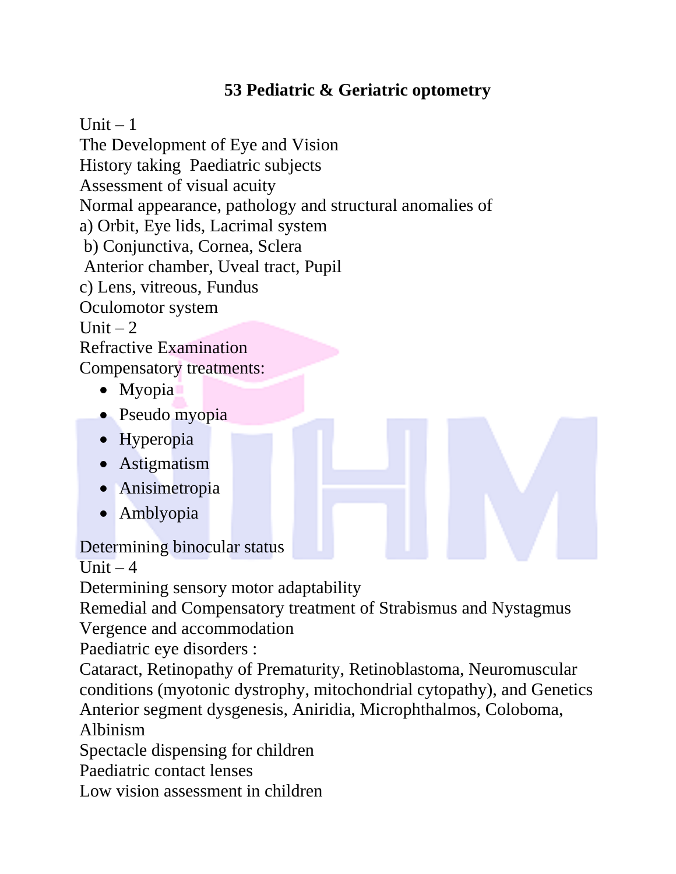## **53 Pediatric & Geriatric optometry**

Unit  $-1$ 

The Development of Eye and Vision History taking Paediatric subjects Assessment of visual acuity Normal appearance, pathology and structural anomalies of a) Orbit, Eye lids, Lacrimal system b) Conjunctiva, Cornea, Sclera Anterior chamber, Uveal tract, Pupil c) Lens, vitreous, Fundus Oculomotor system Unit  $-2$ Refractive Examination Compensatory treatments: • Myopia

- Pseudo myopia
- Hyperopia
- Astigmatism
- Anisimetropia
- Amblyopia

Determining binocular status

Unit  $-4$ 

Determining sensory motor adaptability

Remedial and Compensatory treatment of Strabismus and Nystagmus Vergence and accommodation

Paediatric eye disorders :

Cataract, Retinopathy of Prematurity, Retinoblastoma, Neuromuscular conditions (myotonic dystrophy, mitochondrial cytopathy), and Genetics Anterior segment dysgenesis, Aniridia, Microphthalmos, Coloboma, Albinism

Spectacle dispensing for children

Paediatric contact lenses

Low vision assessment in children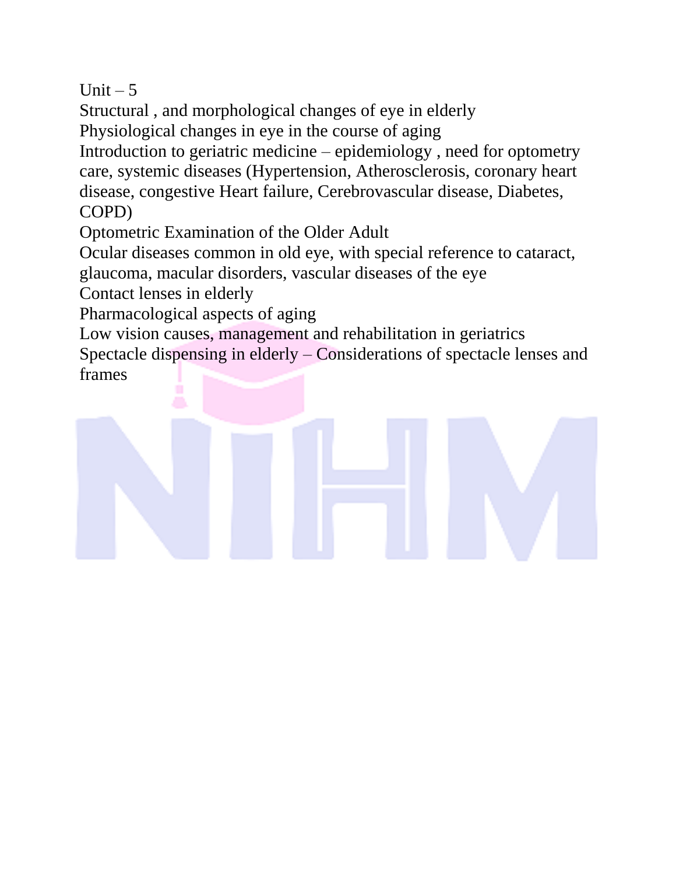Unit  $-5$ 

Structural , and morphological changes of eye in elderly

Physiological changes in eye in the course of aging

Introduction to geriatric medicine – epidemiology , need for optometry care, systemic diseases (Hypertension, Atherosclerosis, coronary heart disease, congestive Heart failure, Cerebrovascular disease, Diabetes, COPD)

Optometric Examination of the Older Adult

Ocular diseases common in old eye, with special reference to cataract,

glaucoma, macular disorders, vascular diseases of the eye

Contact lenses in elderly

Pharmacological aspects of aging

Low vision causes, management and rehabilitation in geriatrics Spectacle dispensing in elderly – Considerations of spectacle lenses and frames

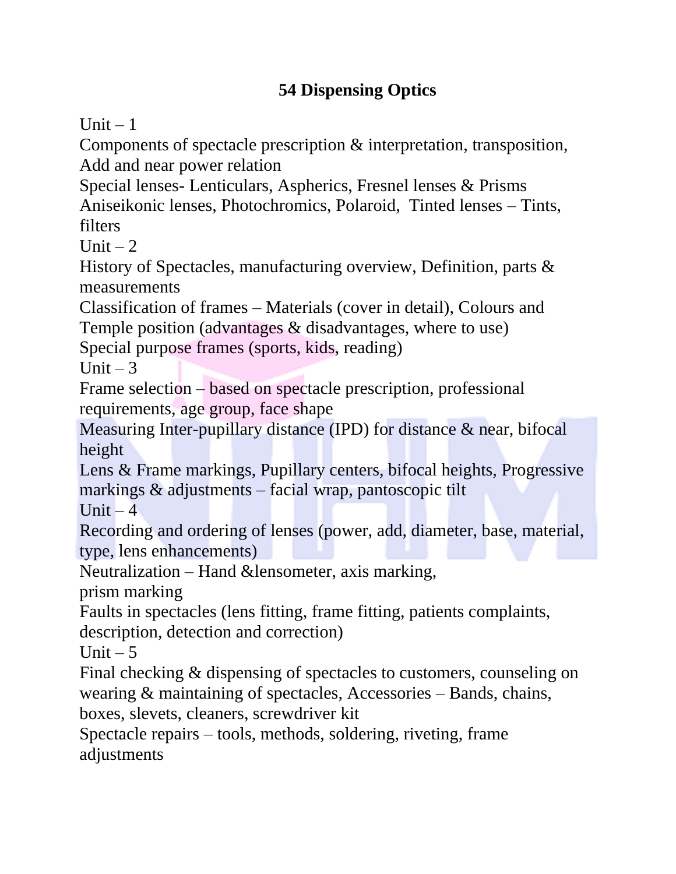## **54 Dispensing Optics**

Unit  $-1$ 

Components of spectacle prescription & interpretation, transposition, Add and near power relation

Special lenses- Lenticulars, Aspherics, Fresnel lenses & Prisms Aniseikonic lenses, Photochromics, Polaroid, Tinted lenses – Tints, filters

Unit  $-2$ 

History of Spectacles, manufacturing overview, Definition, parts & measurements

Classification of frames – Materials (cover in detail), Colours and Temple position (advantages & disadvantages, where to use)

Special purpose frames (sports, kids, reading)

Unit  $-3$ 

Frame selection – based on spectacle prescription, professional requirements, age group, face shape

Measuring Inter-pupillary distance (IPD) for distance & near, bifocal height

Lens & Frame markings, Pupillary centers, bifocal heights, Progressive markings & adjustments – facial wrap, pantoscopic tilt

Unit  $-4$ 

Recording and ordering of lenses (power, add, diameter, base, material, type, lens enhancements)

Neutralization – Hand &lensometer, axis marking,

prism marking

Faults in spectacles (lens fitting, frame fitting, patients complaints,

description, detection and correction)

Unit  $-5$ 

Final checking & dispensing of spectacles to customers, counseling on wearing & maintaining of spectacles, Accessories – Bands, chains, boxes, slevets, cleaners, screwdriver kit

Spectacle repairs – tools, methods, soldering, riveting, frame adjustments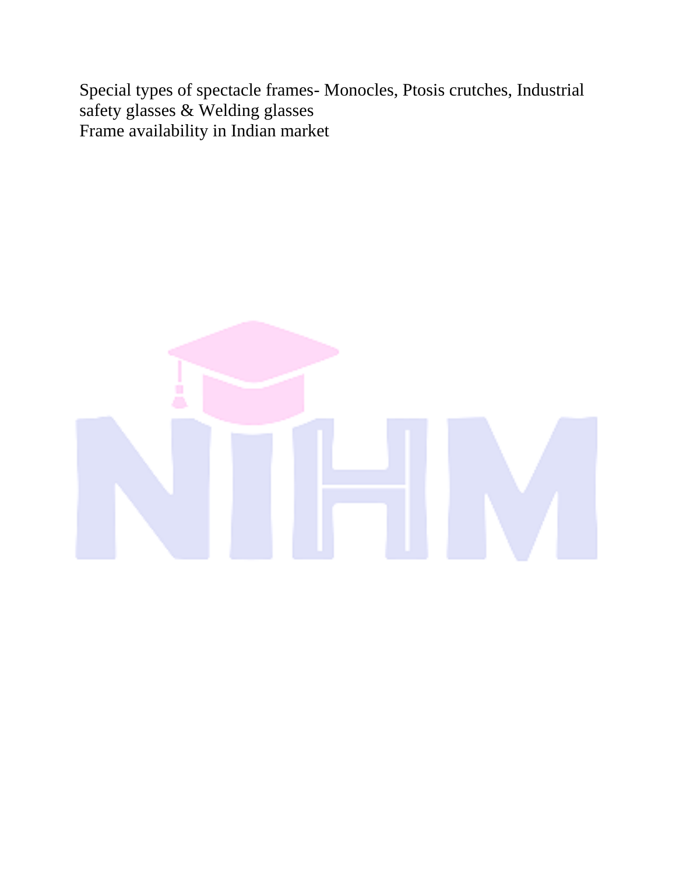Special types of spectacle frames- Monocles, Ptosis crutches, Industrial safety glasses & Welding glasses Frame availability in Indian market

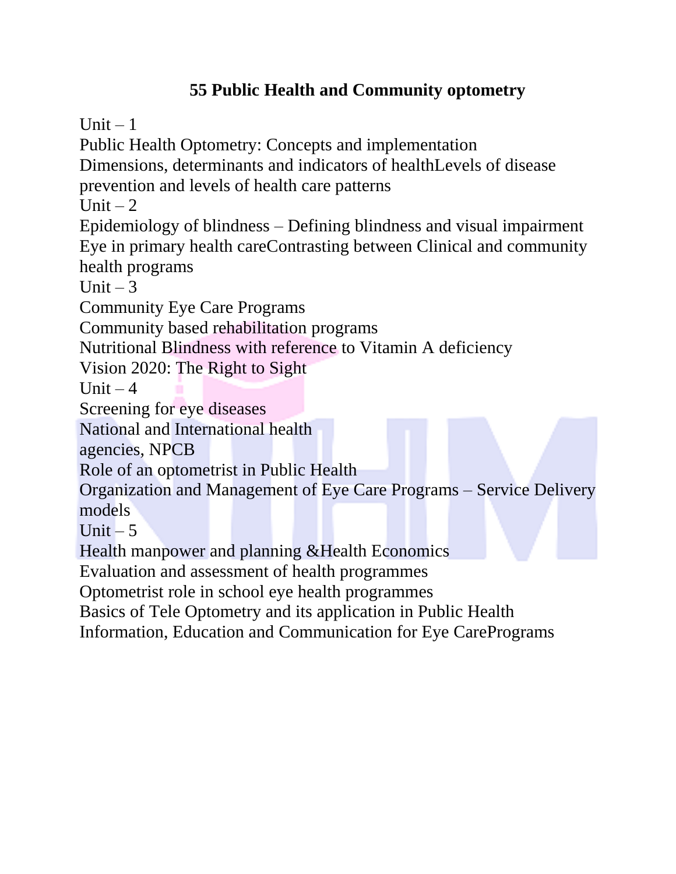## **55 Public Health and Community optometry**

Unit  $-1$ 

Public Health Optometry: Concepts and implementation Dimensions, determinants and indicators of healthLevels of disease prevention and levels of health care patterns Unit  $-2$ 

Epidemiology of blindness – Defining blindness and visual impairment Eye in primary health careContrasting between Clinical and community health programs

Unit  $-3$ 

Community Eye Care Programs

Community based rehabilitation programs

Nutritional Blindness with reference to Vitamin A deficiency

Vision 2020: The Right to Sight

Unit  $-4$ 

Screening for eye diseases

National and International health

agencies, NPCB

Role of an optometrist in Public Health

Organization and Management of Eye Care Programs – Service Delivery models

Unit  $-5$ 

Health manpower and planning &Health Economics

Evaluation and assessment of health programmes

Optometrist role in school eye health programmes

Basics of Tele Optometry and its application in Public Health

Information, Education and Communication for Eye CarePrograms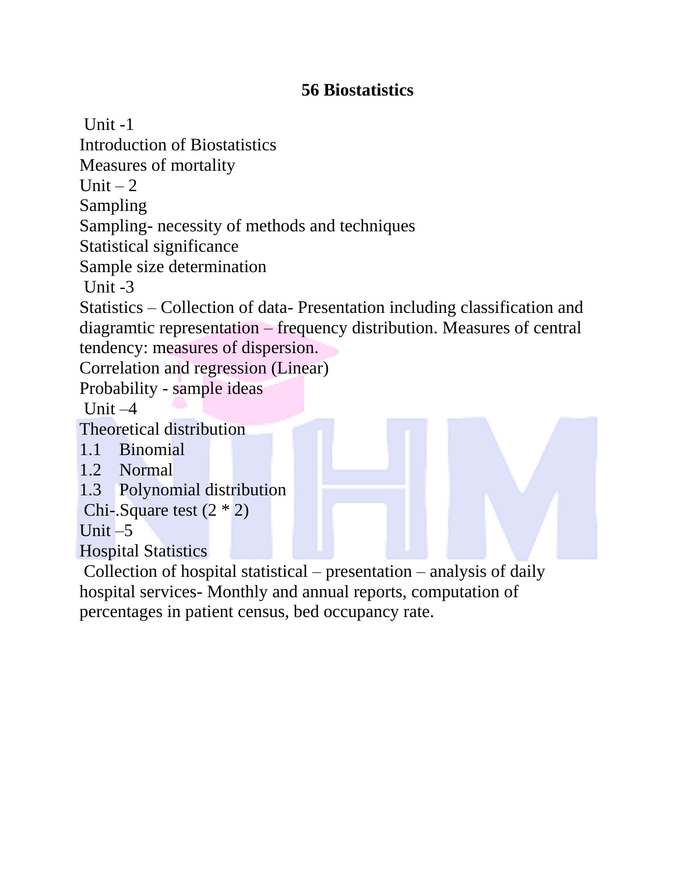## **56 Biostatistics**

 $Unit -1$ Introduction of Biostatistics Measures of mortality Unit  $-2$ Sampling Sampling- necessity of methods and techniques Statistical significance Sample size determination Unit  $-3$ Statistics – Collection of data- Presentation including classification and diagramtic representation – frequency distribution. Measures of central tendency: measures of dispersion. Correlation and regression (Linear) Probability - sample ideas Unit  $-4$ Theoretical distribution 1.1 Binomial 1.2 Normal 1.3 Polynomial distribution Chi-.Square test (2 \* 2) Unit  $-5$ Hospital Statistics Collection of hospital statistical – presentation – analysis of daily

hospital services- Monthly and annual reports, computation of percentages in patient census, bed occupancy rate.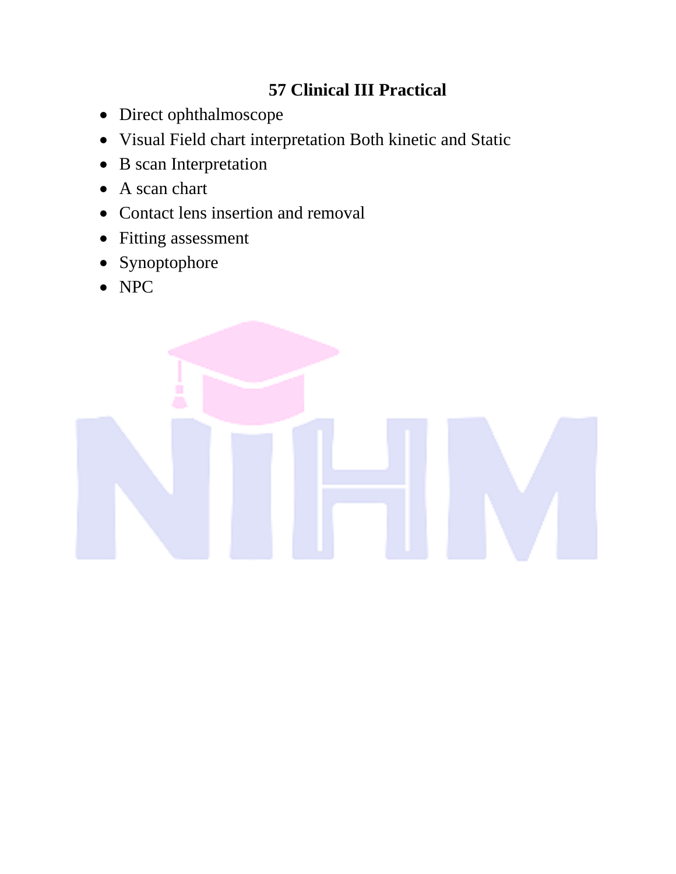## **57 Clinical III Practical**

- Direct ophthalmoscope
- Visual Field chart interpretation Both kinetic and Static
- B scan Interpretation
- A scan chart
- Contact lens insertion and removal
- Fitting assessment
- Synoptophore
- NPC

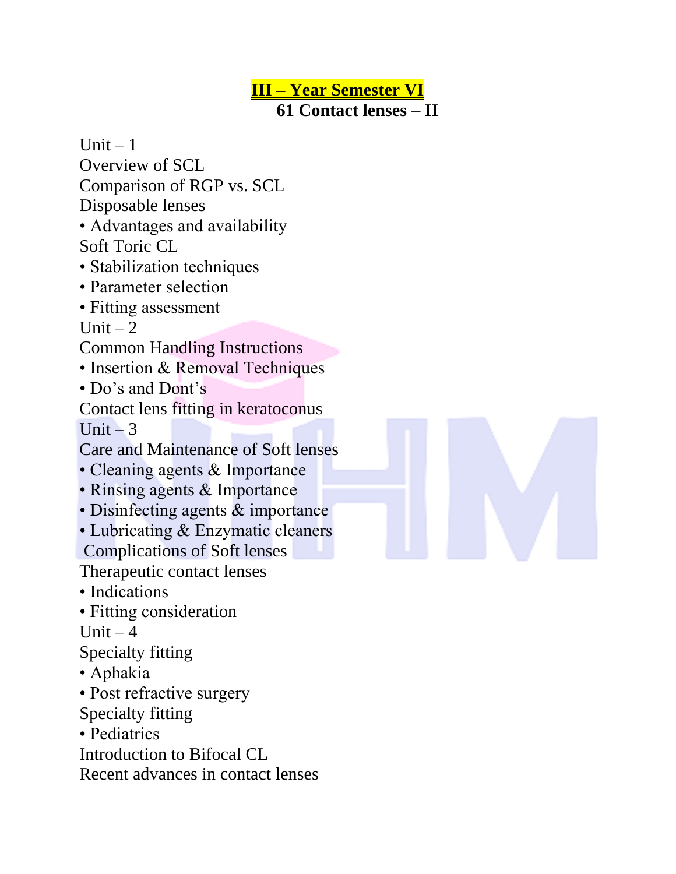**III – Year Semester VI 61 Contact lenses – II**

Comparison of RGP vs. SCL Disposable lenses • Advantages and availability Soft Toric CL • Stabilization techniques • Parameter selection • Fitting assessment Unit  $-2$ Common Handling Instructions • Insertion & Removal Techniques • Do's and Dont's

Contact lens fitting in keratoconus Unit  $-3$ 

Care and Maintenance of Soft lenses

- Cleaning agents & Importance
- Rinsing agents & Importance
- Disinfecting agents & importance
- Lubricating & Enzymatic cleaners

Complications of Soft lenses

Therapeutic contact lenses

- Indications
- Fitting consideration

Unit  $-4$ 

Unit  $-1$ 

Overview of SCL

Specialty fitting

- Aphakia
- Post refractive surgery
- Specialty fitting
- Pediatrics

Introduction to Bifocal CL

Recent advances in contact lenses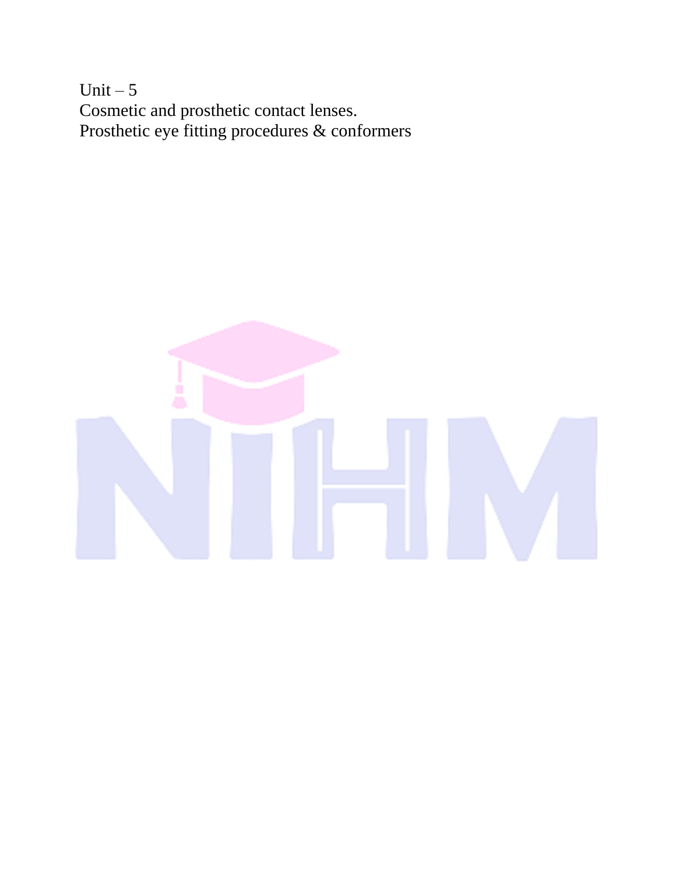Unit  $-5$ Cosmetic and prosthetic contact lenses. Prosthetic eye fitting procedures & conformers

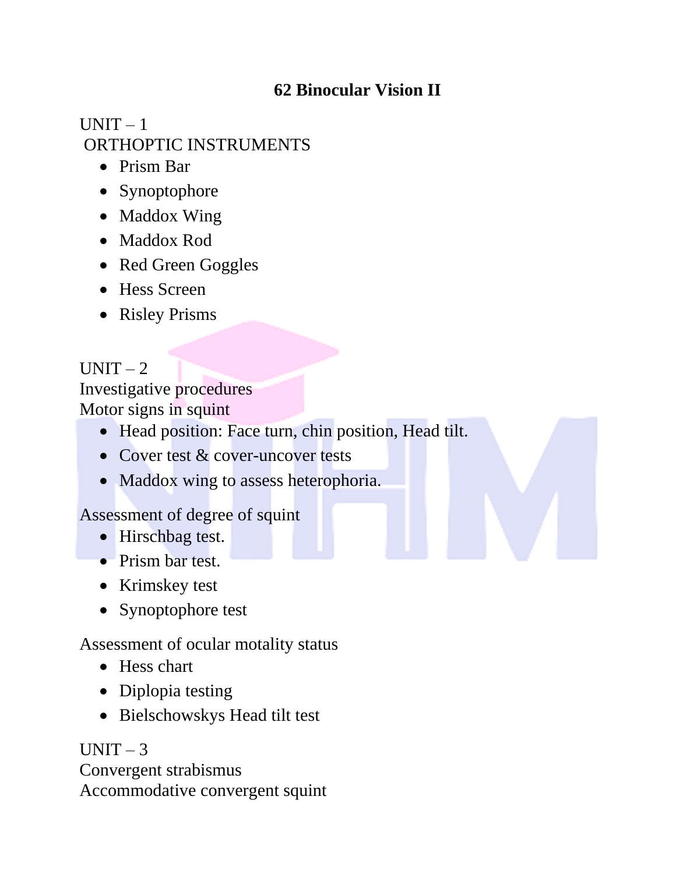## **62 Binocular Vision II**

# $UNIT - 1$ ORTHOPTIC INSTRUMENTS

- Prism Bar
- Synoptophore
- Maddox Wing
- Maddox Rod
- Red Green Goggles
- Hess Screen
- Risley Prisms

# $UNIT - 2$

Investigative procedures Motor signs in squint

- Head position: Face turn, chin position, Head tilt.
- Cover test & cover-uncover tests
- Maddox wing to assess heterophoria.

## Assessment of degree of squint

- Hirschbag test.
- Prism bar test.
- Krimskey test
- Synoptophore test

## Assessment of ocular motality status

- Hess chart
- Diplopia testing
- Bielschowskys Head tilt test

 $UNIT-3$ Convergent strabismus Accommodative convergent squint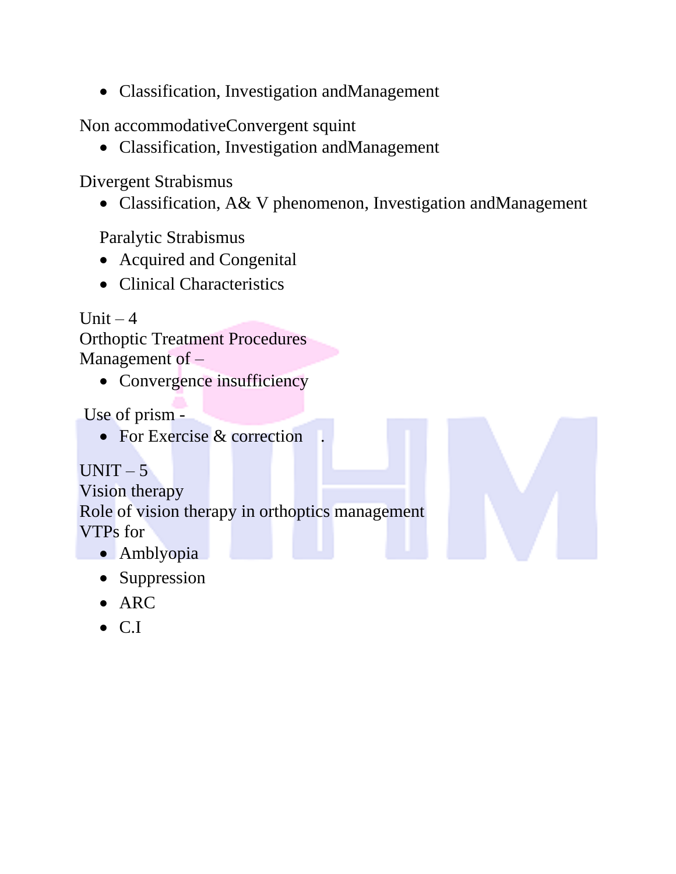• Classification, Investigation andManagement

Non accommodativeConvergent squint

• Classification, Investigation andManagement

Divergent Strabismus

• Classification, A& V phenomenon, Investigation andManagement

Paralytic Strabismus

- Acquired and Congenital
- Clinical Characteristics

Unit  $-4$ Orthoptic Treatment Procedures Management of –

• Convergence insufficiency

Use of prism -

• For Exercise & correction

 $UNIT - 5$ Vision therapy Role of vision therapy in orthoptics management VTPs for

- Amblyopia
- Suppression
- ARC
- C.I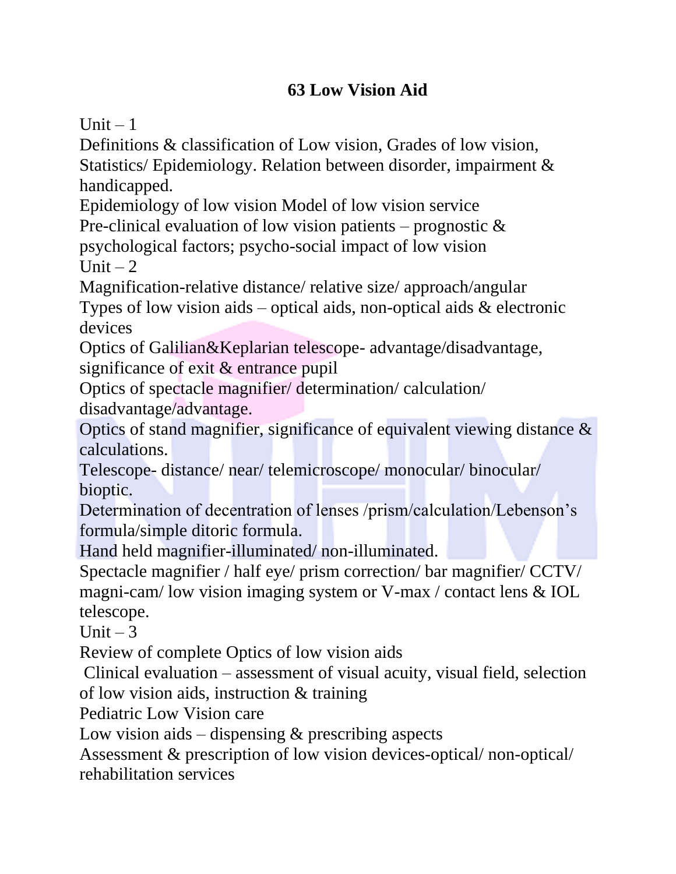## **63 Low Vision Aid**

Unit  $-1$ 

Definitions & classification of Low vision, Grades of low vision, Statistics/ Epidemiology. Relation between disorder, impairment & handicapped.

Epidemiology of low vision Model of low vision service

Pre-clinical evaluation of low vision patients – prognostic  $\&$ psychological factors; psycho-social impact of low vision Unit  $-2$ 

Magnification-relative distance/ relative size/ approach/angular

Types of low vision aids – optical aids, non-optical aids  $\&$  electronic devices

Optics of Galilian&Keplarian telescope- advantage/disadvantage, significance of exit & entrance pupil

Optics of spectacle magnifier/ determination/ calculation/ disadvantage/advantage.

Optics of stand magnifier, significance of equivalent viewing distance & calculations.

Telescope- distance/ near/ telemicroscope/ monocular/ binocular/ bioptic.

Determination of decentration of lenses /prism/calculation/Lebenson's formula/simple ditoric formula.

Hand held magnifier-illuminated/ non-illuminated.

Spectacle magnifier / half eye/ prism correction/ bar magnifier/ CCTV/ magni-cam/ low vision imaging system or V-max / contact lens & IOL telescope.

Unit  $-3$ 

Review of complete Optics of low vision aids

Clinical evaluation – assessment of visual acuity, visual field, selection of low vision aids, instruction & training

Pediatric Low Vision care

Low vision aids – dispensing  $\&$  prescribing aspects

Assessment & prescription of low vision devices-optical/ non-optical/ rehabilitation services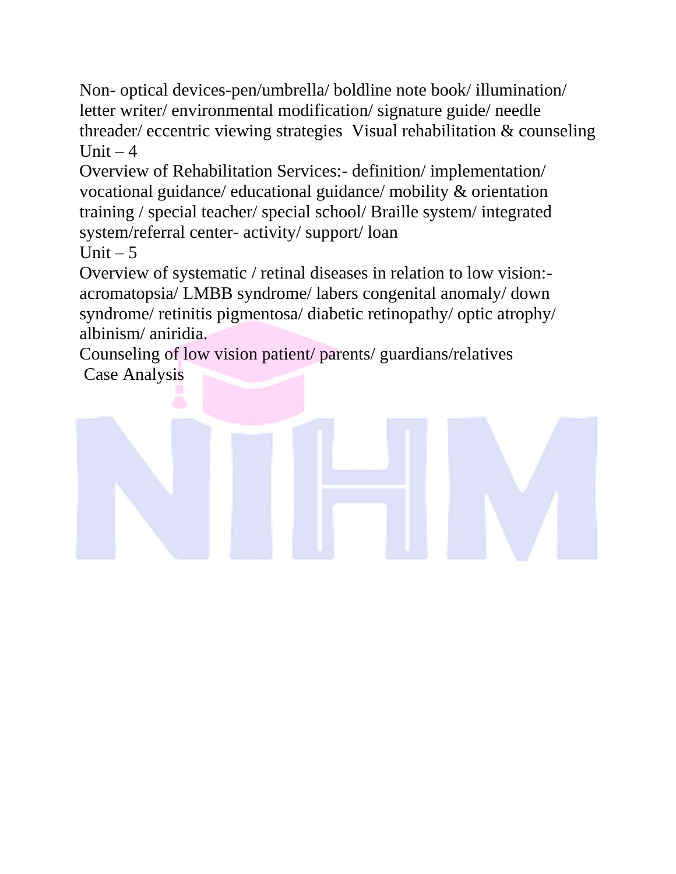Non- optical devices-pen/umbrella/ boldline note book/ illumination/ letter writer/ environmental modification/ signature guide/ needle threader/ eccentric viewing strategies Visual rehabilitation & counseling Unit  $-4$ 

Overview of Rehabilitation Services:- definition/ implementation/ vocational guidance/ educational guidance/ mobility & orientation training / special teacher/ special school/ Braille system/ integrated system/referral center- activity/ support/ loan Unit  $-5$ 

Overview of systematic / retinal diseases in relation to low vision: acromatopsia/ LMBB syndrome/ labers congenital anomaly/ down syndrome/ retinitis pigmentosa/ diabetic retinopathy/ optic atrophy/ albinism/ aniridia.

Counseling of low vision patient/ parents/ guardians/relatives Case Analysis

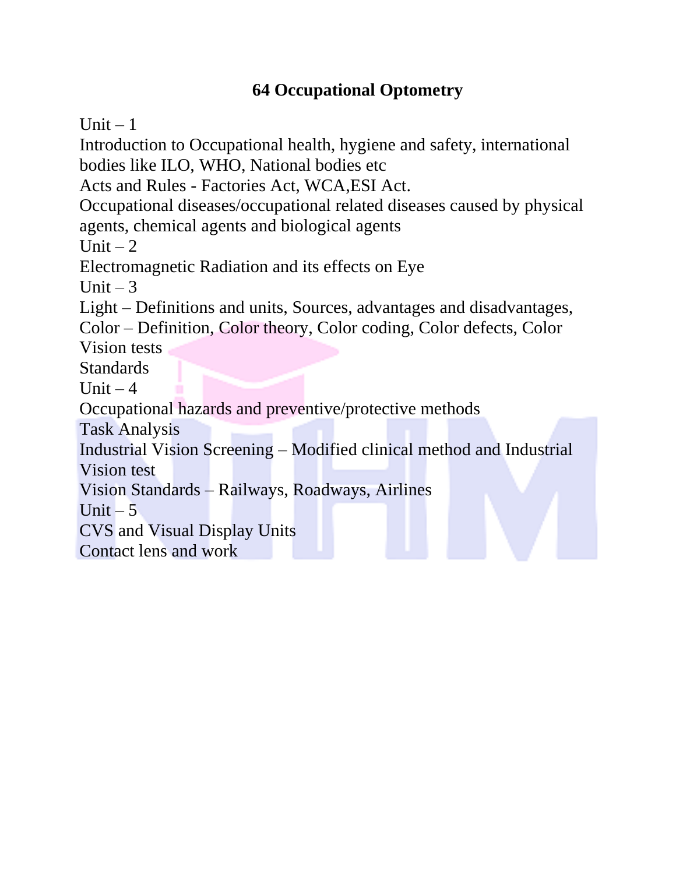## **64 Occupational Optometry**

Unit  $-1$ 

Introduction to Occupational health, hygiene and safety, international bodies like ILO, WHO, National bodies etc Acts and Rules - Factories Act, WCA,ESI Act. Occupational diseases/occupational related diseases caused by physical agents, chemical agents and biological agents Unit  $-2$ Electromagnetic Radiation and its effects on Eye Unit  $-3$ Light – Definitions and units, Sources, advantages and disadvantages, Color – Definition, Color theory, Color coding, Color defects, Color Vision tests Standards Unit  $-4$ Occupational hazards and preventive/protective methods Task Analysis Industrial Vision Screening – Modified clinical method and Industrial Vision test Vision Standards – Railways, Roadways, Airlines Unit  $-5$ CVS and Visual Display Units Contact lens and work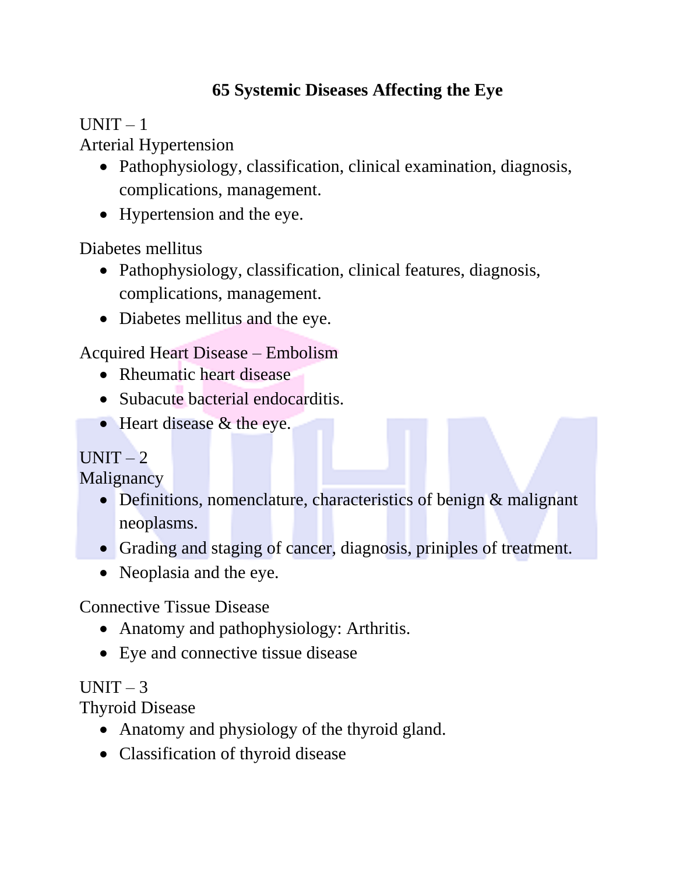## **65 Systemic Diseases Affecting the Eye**

 $UNIT - 1$ 

Arterial Hypertension

- Pathophysiology, classification, clinical examination, diagnosis, complications, management.
- Hypertension and the eye.

Diabetes mellitus

- Pathophysiology, classification, clinical features, diagnosis, complications, management.
- Diabetes mellitus and the eye.

Acquired Heart Disease – Embolism

- Rheumatic heart disease
- Subacute bacterial endocarditis.
- Heart disease & the eye.

## $UNIT - 2$

Malignancy

- Definitions, nomenclature, characteristics of benign & malignant neoplasms.
- Grading and staging of cancer, diagnosis, priniples of treatment.
- Neoplasia and the eye.

Connective Tissue Disease

- Anatomy and pathophysiology: Arthritis.
- Eye and connective tissue disease

## $UNIT - 3$

Thyroid Disease

- Anatomy and physiology of the thyroid gland.
- Classification of thyroid disease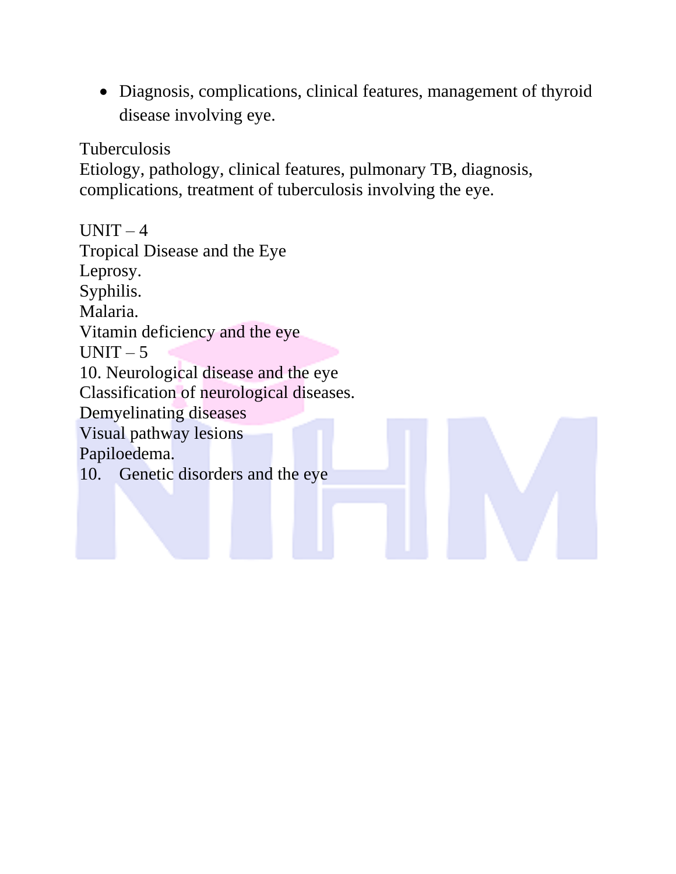• Diagnosis, complications, clinical features, management of thyroid disease involving eye.

Tuberculosis

Etiology, pathology, clinical features, pulmonary TB, diagnosis, complications, treatment of tuberculosis involving the eye.

 $UNIT-4$ Tropical Disease and the Eye Leprosy. Syphilis. Malaria. Vitamin deficiency and the eye  $UNIT - 5$ 10. Neurological disease and the eye Classification of neurological diseases. Demyelinating diseases Visual pathway lesions Papiloedema. 10. Genetic disorders and the eye